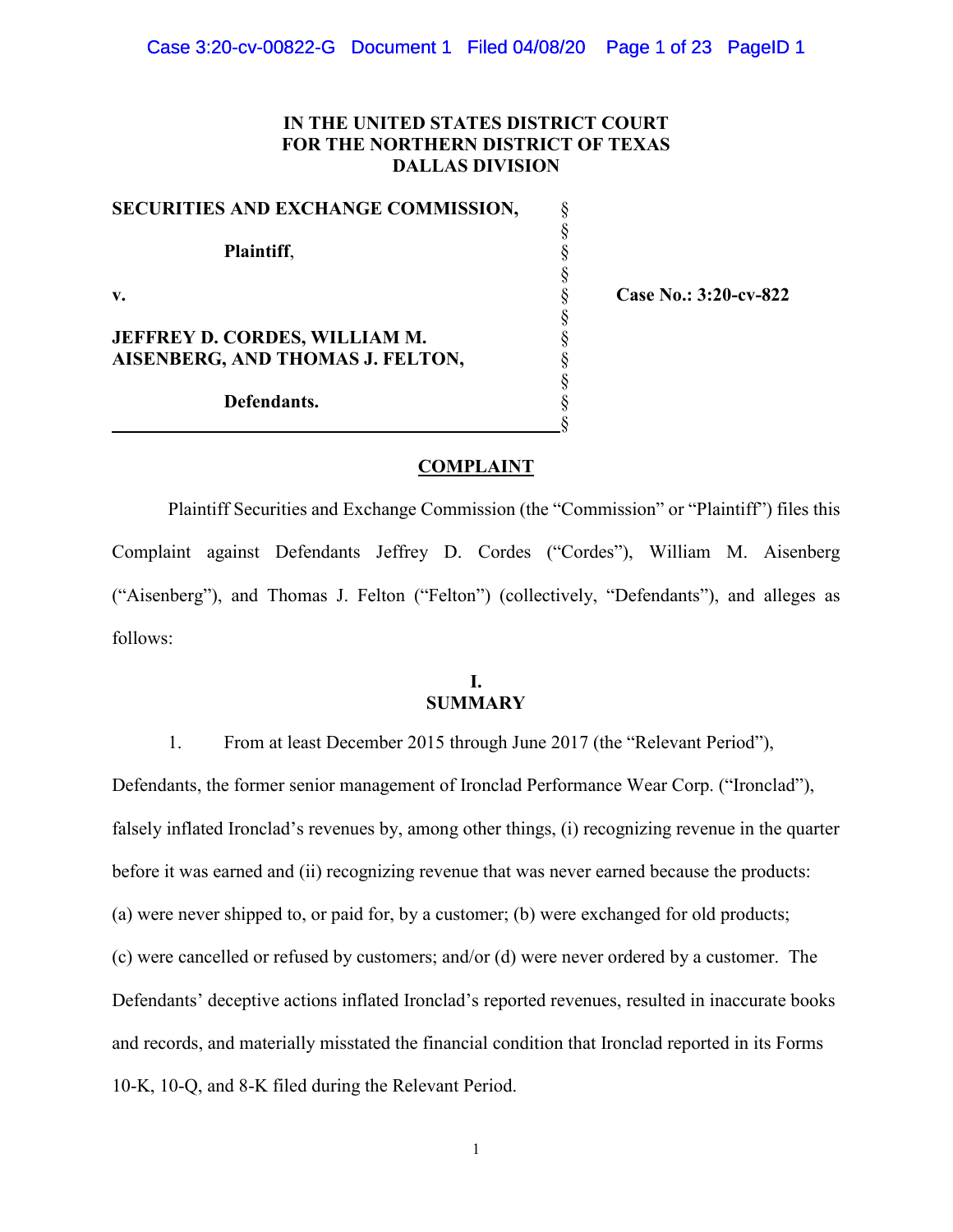# **IN THE UNITED STATES DISTRICT COURT FOR THE NORTHERN DISTRICT OF TEXAS DALLAS DIVISION**

| SECURITIES AND EXCHANGE COMMISSION,  |  |
|--------------------------------------|--|
| Plaintiff,                           |  |
|                                      |  |
| v.                                   |  |
|                                      |  |
| <b>JEFFREY D. CORDES, WILLIAM M.</b> |  |
| AISENBERG, AND THOMAS J. FELTON,     |  |
|                                      |  |
| Defendants.                          |  |
|                                      |  |

**v.** § **Case No.: 3:20-cv-822**

#### **COMPLAINT**

Plaintiff Securities and Exchange Commission (the "Commission" or "Plaintiff") files this Complaint against Defendants Jeffrey D. Cordes ("Cordes"), William M. Aisenberg ("Aisenberg"), and Thomas J. Felton ("Felton") (collectively, "Defendants"), and alleges as follows:

# **I. SUMMARY**

1. From at least December 2015 through June 2017 (the "Relevant Period"),

Defendants, the former senior management of Ironclad Performance Wear Corp. ("Ironclad"), falsely inflated Ironclad's revenues by, among other things, (i) recognizing revenue in the quarter before it was earned and (ii) recognizing revenue that was never earned because the products: (a) were never shipped to, or paid for, by a customer; (b) were exchanged for old products; (c) were cancelled or refused by customers; and/or (d) were never ordered by a customer. The Defendants' deceptive actions inflated Ironclad's reported revenues, resulted in inaccurate books and records, and materially misstated the financial condition that Ironclad reported in its Forms 10-K, 10-Q, and 8-K filed during the Relevant Period.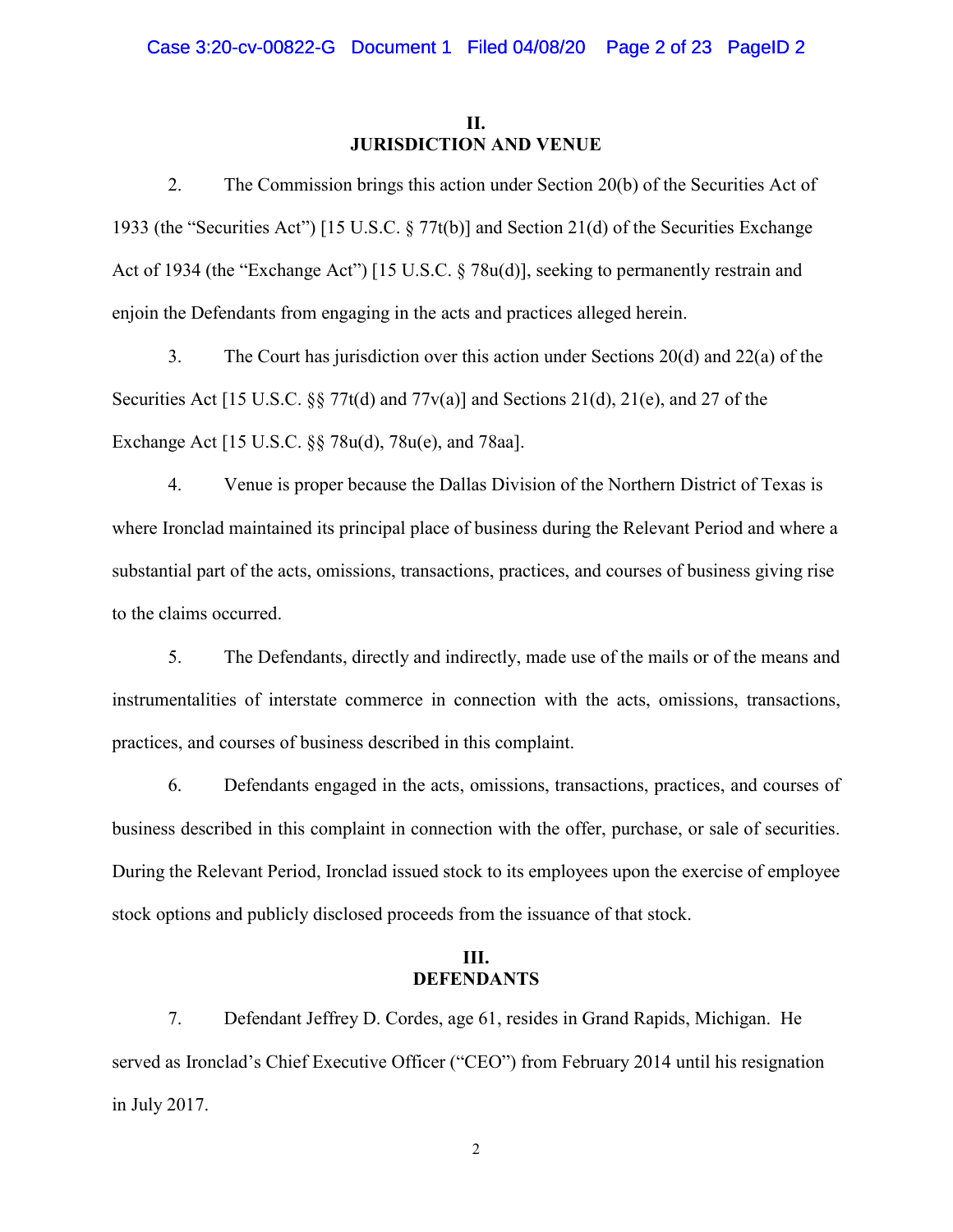## **II. JURISDICTION AND VENUE**

2. The Commission brings this action under Section 20(b) of the Securities Act of 1933 (the "Securities Act") [15 U.S.C. § 77t(b)] and Section 21(d) of the Securities Exchange Act of 1934 (the "Exchange Act") [15 U.S.C. § 78u(d)], seeking to permanently restrain and enjoin the Defendants from engaging in the acts and practices alleged herein.

3. The Court has jurisdiction over this action under Sections 20(d) and 22(a) of the Securities Act [15 U.S.C. §§ 77t(d) and 77 $v(a)$ ] and Sections 21(d), 21(e), and 27 of the Exchange Act [15 U.S.C. §§ 78u(d), 78u(e), and 78aa].

4. Venue is proper because the Dallas Division of the Northern District of Texas is where Ironclad maintained its principal place of business during the Relevant Period and where a substantial part of the acts, omissions, transactions, practices, and courses of business giving rise to the claims occurred.

5. The Defendants, directly and indirectly, made use of the mails or of the means and instrumentalities of interstate commerce in connection with the acts, omissions, transactions, practices, and courses of business described in this complaint.

6. Defendants engaged in the acts, omissions, transactions, practices, and courses of business described in this complaint in connection with the offer, purchase, or sale of securities. During the Relevant Period, Ironclad issued stock to its employees upon the exercise of employee stock options and publicly disclosed proceeds from the issuance of that stock.

# **III. DEFENDANTS**

7. Defendant Jeffrey D. Cordes, age 61, resides in Grand Rapids, Michigan. He served as Ironclad's Chief Executive Officer ("CEO") from February 2014 until his resignation in July 2017.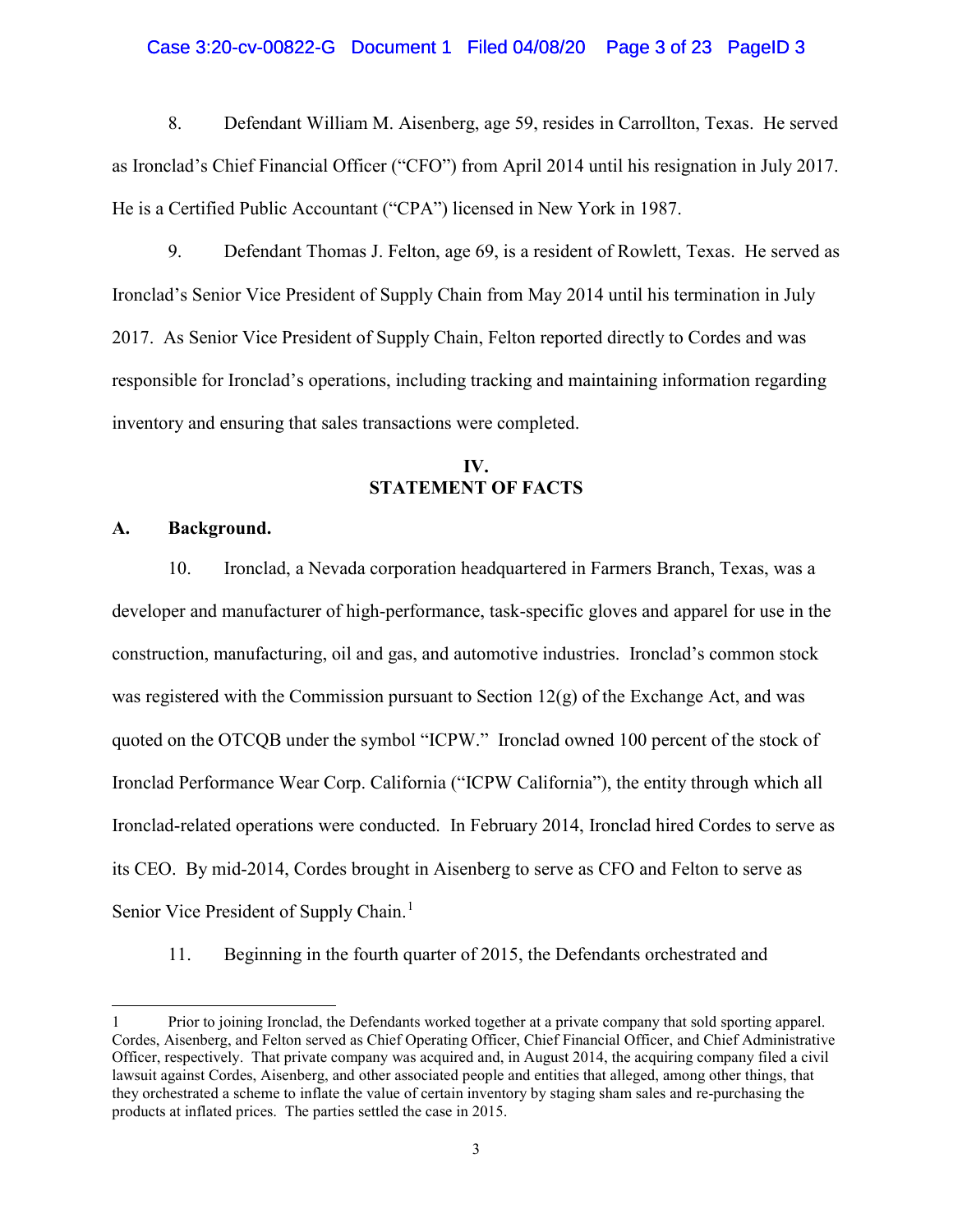#### Case 3:20-cv-00822-G Document 1 Filed 04/08/20 Page 3 of 23 PageID 3

8. Defendant William M. Aisenberg, age 59, resides in Carrollton, Texas. He served as Ironclad's Chief Financial Officer ("CFO") from April 2014 until his resignation in July 2017. He is a Certified Public Accountant ("CPA") licensed in New York in 1987.

9. Defendant Thomas J. Felton, age 69, is a resident of Rowlett, Texas. He served as Ironclad's Senior Vice President of Supply Chain from May 2014 until his termination in July 2017. As Senior Vice President of Supply Chain, Felton reported directly to Cordes and was responsible for Ironclad's operations, including tracking and maintaining information regarding inventory and ensuring that sales transactions were completed.

# **IV. STATEMENT OF FACTS**

#### **A. Background.**

 $\overline{a}$ 

10. Ironclad, a Nevada corporation headquartered in Farmers Branch, Texas, was a developer and manufacturer of high-performance, task-specific gloves and apparel for use in the construction, manufacturing, oil and gas, and automotive industries. Ironclad's common stock was registered with the Commission pursuant to Section  $12(g)$  of the Exchange Act, and was quoted on the OTCQB under the symbol "ICPW." Ironclad owned 100 percent of the stock of Ironclad Performance Wear Corp. California ("ICPW California"), the entity through which all Ironclad-related operations were conducted. In February 2014, Ironclad hired Cordes to serve as its CEO. By mid-2014, Cordes brought in Aisenberg to serve as CFO and Felton to serve as Senior Vice President of Supply Chain.<sup>[1](#page-2-0)</sup>

11. Beginning in the fourth quarter of 2015, the Defendants orchestrated and

<span id="page-2-0"></span><sup>1</sup> Prior to joining Ironclad, the Defendants worked together at a private company that sold sporting apparel. Cordes, Aisenberg, and Felton served as Chief Operating Officer, Chief Financial Officer, and Chief Administrative Officer, respectively. That private company was acquired and, in August 2014, the acquiring company filed a civil lawsuit against Cordes, Aisenberg, and other associated people and entities that alleged, among other things, that they orchestrated a scheme to inflate the value of certain inventory by staging sham sales and re-purchasing the products at inflated prices. The parties settled the case in 2015.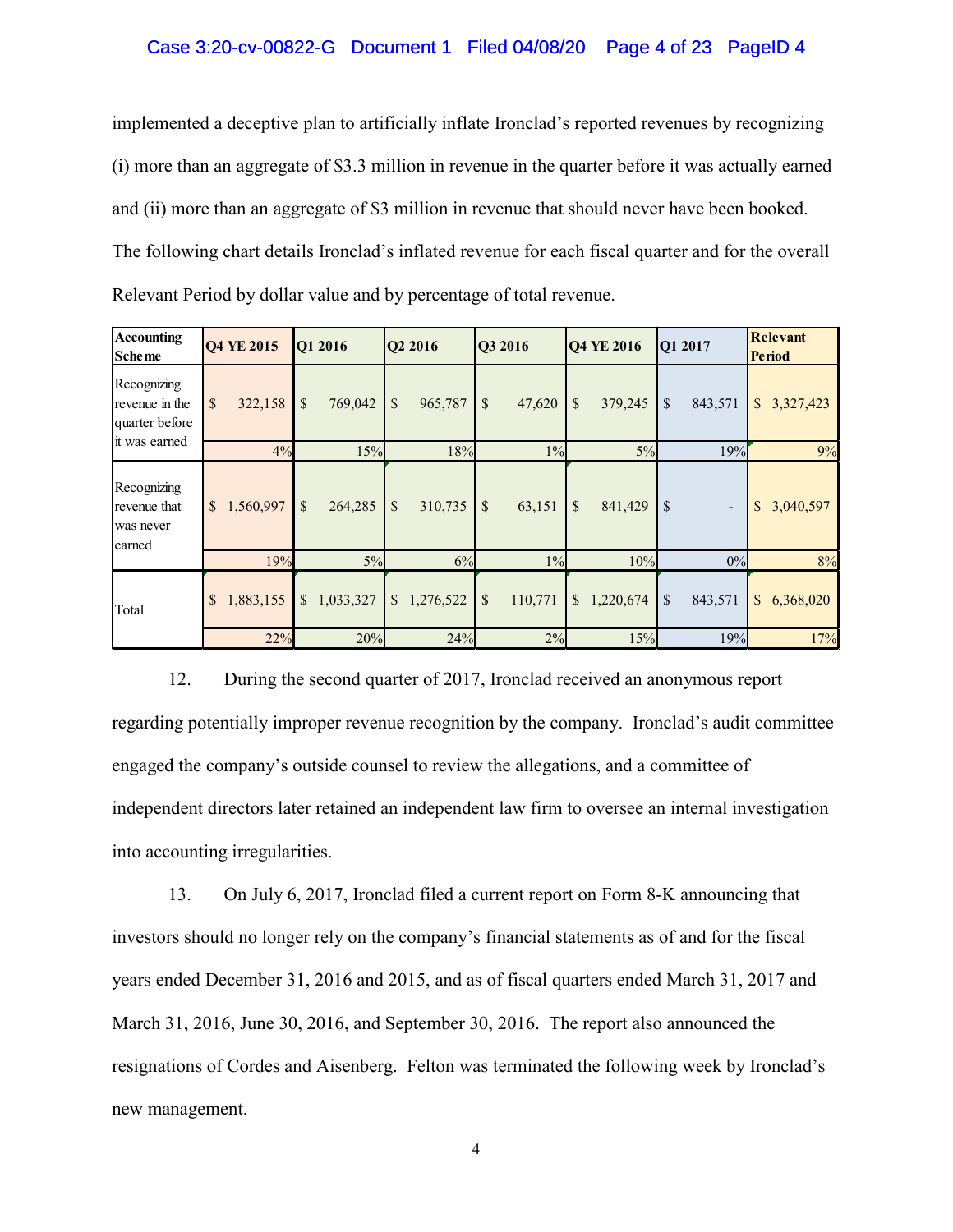### Case 3:20-cv-00822-G Document 1 Filed 04/08/20 Page 4 of 23 PageID 4

implemented a deceptive plan to artificially inflate Ironclad's reported revenues by recognizing (i) more than an aggregate of \$3.3 million in revenue in the quarter before it was actually earned and (ii) more than an aggregate of \$3 million in revenue that should never have been booked. The following chart details Ironclad's inflated revenue for each fiscal quarter and for the overall Relevant Period by dollar value and by percentage of total revenue.

| <b>Accounting</b><br><b>Scheme</b>                               | Q4 YE 2015                | Q1 2016                   | Q2 2016                   | Q3 2016                             | Q4 YE 2016                           | Q1 2017                                   | Relevant<br><b>Period</b> |
|------------------------------------------------------------------|---------------------------|---------------------------|---------------------------|-------------------------------------|--------------------------------------|-------------------------------------------|---------------------------|
| Recognizing<br>revenue in the<br>quarter before<br>it was earned | \$<br>322,158             | \$<br>769,042             | \$<br>965,787             | $\boldsymbol{\mathsf{S}}$<br>47,620 | \$<br>379,245                        | \$<br>843,571                             | \$<br>3,327,423           |
|                                                                  | 4%                        | 15%                       | 18%                       | $1\%$                               | 5%                                   | 19%                                       | 9%                        |
| Recognizing<br>revenue that<br>was never<br>earned               | $\mathbb{S}$<br>1,560,997 | $\mathbb{S}$<br>264,285   | \$<br>310,735             | \$<br>63,151                        | $\boldsymbol{\mathsf{S}}$<br>841,429 | $\mathcal{S}$<br>$\overline{\phantom{a}}$ | \$<br>3,040,597           |
|                                                                  | 19%                       | 5%                        | 6%                        | $1\%$                               | 10%                                  | 0%                                        | 8%                        |
| Total                                                            | 1,883,155<br>\$           | 1,033,327<br>$\mathbb{S}$ | $\mathbb{S}$<br>1,276,522 | \$<br>110,771                       | $\mathbb{S}$<br>1,220,674            | \$<br>843,571                             | \$<br>6,368,020           |
|                                                                  | 22%                       | 20%                       | 24%                       | 2%                                  | 15%                                  | 19%                                       | 17%                       |

12. During the second quarter of 2017, Ironclad received an anonymous report regarding potentially improper revenue recognition by the company. Ironclad's audit committee engaged the company's outside counsel to review the allegations, and a committee of independent directors later retained an independent law firm to oversee an internal investigation into accounting irregularities.

13. On July 6, 2017, Ironclad filed a current report on Form 8-K announcing that investors should no longer rely on the company's financial statements as of and for the fiscal years ended December 31, 2016 and 2015, and as of fiscal quarters ended March 31, 2017 and March 31, 2016, June 30, 2016, and September 30, 2016. The report also announced the resignations of Cordes and Aisenberg. Felton was terminated the following week by Ironclad's new management.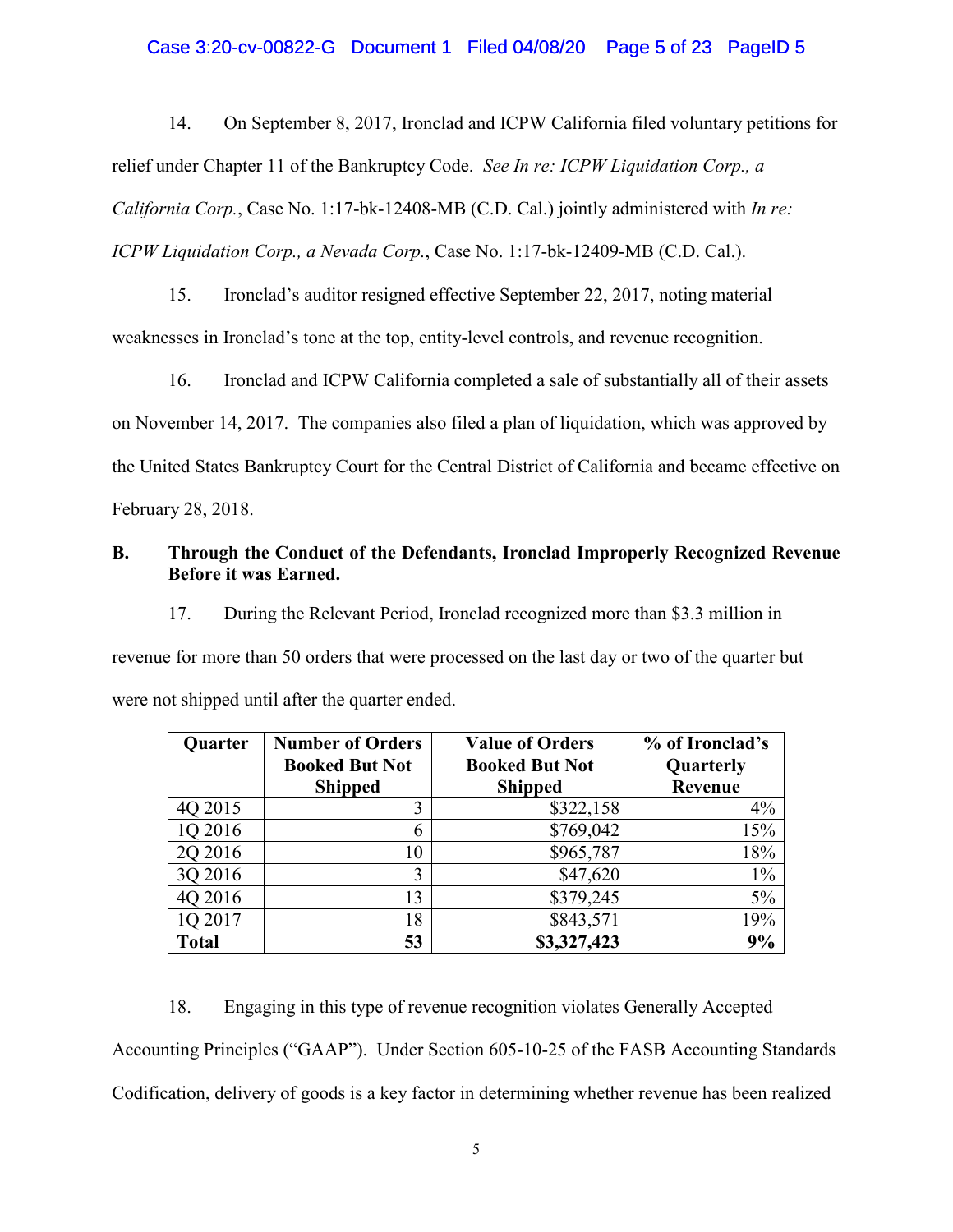## Case 3:20-cv-00822-G Document 1 Filed 04/08/20 Page 5 of 23 PageID 5

14. On September 8, 2017, Ironclad and ICPW California filed voluntary petitions for relief under Chapter 11 of the Bankruptcy Code. *See In re: ICPW Liquidation Corp., a California Corp.*, Case No. 1:17-bk-12408-MB (C.D. Cal.) jointly administered with *In re: ICPW Liquidation Corp., a Nevada Corp.*, Case No. 1:17-bk-12409-MB (C.D. Cal.).

15. Ironclad's auditor resigned effective September 22, 2017, noting material weaknesses in Ironclad's tone at the top, entity-level controls, and revenue recognition.

16. Ironclad and ICPW California completed a sale of substantially all of their assets on November 14, 2017. The companies also filed a plan of liquidation, which was approved by the United States Bankruptcy Court for the Central District of California and became effective on February 28, 2018.

# **B. Through the Conduct of the Defendants, Ironclad Improperly Recognized Revenue Before it was Earned.**

17. During the Relevant Period, Ironclad recognized more than \$3.3 million in revenue for more than 50 orders that were processed on the last day or two of the quarter but were not shipped until after the quarter ended.

| Quarter      | <b>Number of Orders</b> | <b>Value of Orders</b> |           |
|--------------|-------------------------|------------------------|-----------|
|              | <b>Booked But Not</b>   | <b>Booked But Not</b>  | Quarterly |
|              | <b>Shipped</b>          | <b>Shipped</b>         | Revenue   |
| 4Q 2015      | 3                       | \$322,158              | $4\%$     |
| 1Q 2016      | 6                       | \$769,042              | 15%       |
| 2Q 2016      | 10                      | \$965,787              | 18%       |
| 3Q 2016      | 3                       | \$47,620               | $1\%$     |
| 4Q 2016      | 13                      | \$379,245              | 5%        |
| 1Q 2017      | 18                      | \$843,571              | 19%       |
| <b>Total</b> | 53                      | \$3,327,423            | 9%        |

18. Engaging in this type of revenue recognition violates Generally Accepted Accounting Principles ("GAAP"). Under Section 605-10-25 of the FASB Accounting Standards Codification, delivery of goods is a key factor in determining whether revenue has been realized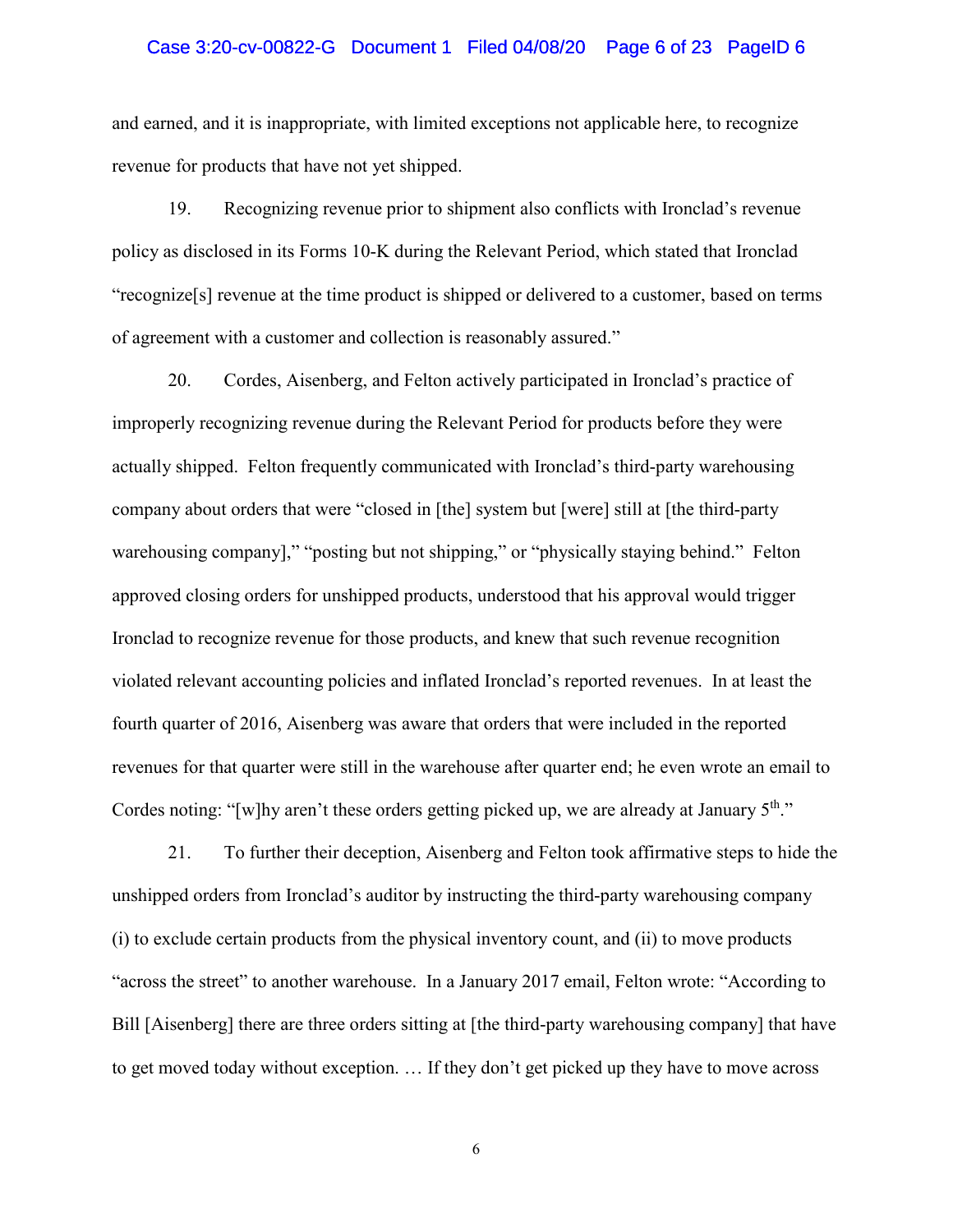#### Case 3:20-cv-00822-G Document 1 Filed 04/08/20 Page 6 of 23 PageID 6

and earned, and it is inappropriate, with limited exceptions not applicable here, to recognize revenue for products that have not yet shipped.

19. Recognizing revenue prior to shipment also conflicts with Ironclad's revenue policy as disclosed in its Forms 10-K during the Relevant Period, which stated that Ironclad "recognize[s] revenue at the time product is shipped or delivered to a customer, based on terms of agreement with a customer and collection is reasonably assured."

20. Cordes, Aisenberg, and Felton actively participated in Ironclad's practice of improperly recognizing revenue during the Relevant Period for products before they were actually shipped. Felton frequently communicated with Ironclad's third-party warehousing company about orders that were "closed in [the] system but [were] still at [the third-party warehousing company]," "posting but not shipping," or "physically staying behind." Felton approved closing orders for unshipped products, understood that his approval would trigger Ironclad to recognize revenue for those products, and knew that such revenue recognition violated relevant accounting policies and inflated Ironclad's reported revenues. In at least the fourth quarter of 2016, Aisenberg was aware that orders that were included in the reported revenues for that quarter were still in the warehouse after quarter end; he even wrote an email to Cordes noting: "[w]hy aren't these orders getting picked up, we are already at January  $5<sup>th</sup>$ ."

21. To further their deception, Aisenberg and Felton took affirmative steps to hide the unshipped orders from Ironclad's auditor by instructing the third-party warehousing company (i) to exclude certain products from the physical inventory count, and (ii) to move products "across the street" to another warehouse. In a January 2017 email, Felton wrote: "According to Bill [Aisenberg] there are three orders sitting at [the third-party warehousing company] that have to get moved today without exception. … If they don't get picked up they have to move across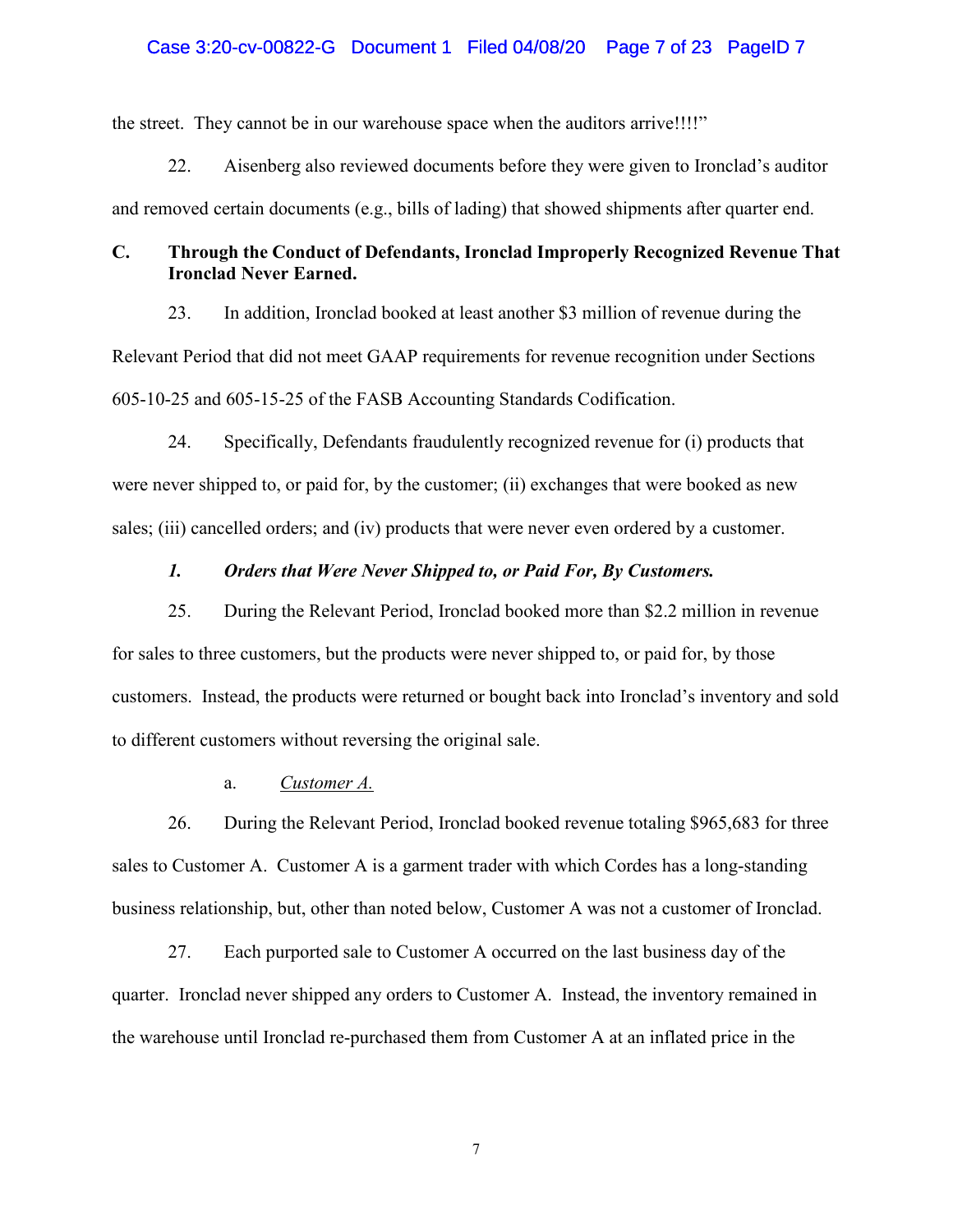### Case 3:20-cv-00822-G Document 1 Filed 04/08/20 Page 7 of 23 PageID 7

the street. They cannot be in our warehouse space when the auditors arrive!!!!"

22. Aisenberg also reviewed documents before they were given to Ironclad's auditor and removed certain documents (e.g., bills of lading) that showed shipments after quarter end.

# **C. Through the Conduct of Defendants, Ironclad Improperly Recognized Revenue That Ironclad Never Earned.**

23. In addition, Ironclad booked at least another \$3 million of revenue during the Relevant Period that did not meet GAAP requirements for revenue recognition under Sections 605-10-25 and 605-15-25 of the FASB Accounting Standards Codification.

24. Specifically, Defendants fraudulently recognized revenue for (i) products that were never shipped to, or paid for, by the customer; (ii) exchanges that were booked as new sales; (iii) cancelled orders; and (iv) products that were never even ordered by a customer.

# *1. Orders that Were Never Shipped to, or Paid For, By Customers.*

25. During the Relevant Period, Ironclad booked more than \$2.2 million in revenue for sales to three customers, but the products were never shipped to, or paid for, by those customers. Instead, the products were returned or bought back into Ironclad's inventory and sold to different customers without reversing the original sale.

# a. *Customer A.*

26. During the Relevant Period, Ironclad booked revenue totaling \$965,683 for three sales to Customer A. Customer A is a garment trader with which Cordes has a long-standing business relationship, but, other than noted below, Customer A was not a customer of Ironclad.

27. Each purported sale to Customer A occurred on the last business day of the quarter. Ironclad never shipped any orders to Customer A. Instead, the inventory remained in the warehouse until Ironclad re-purchased them from Customer A at an inflated price in the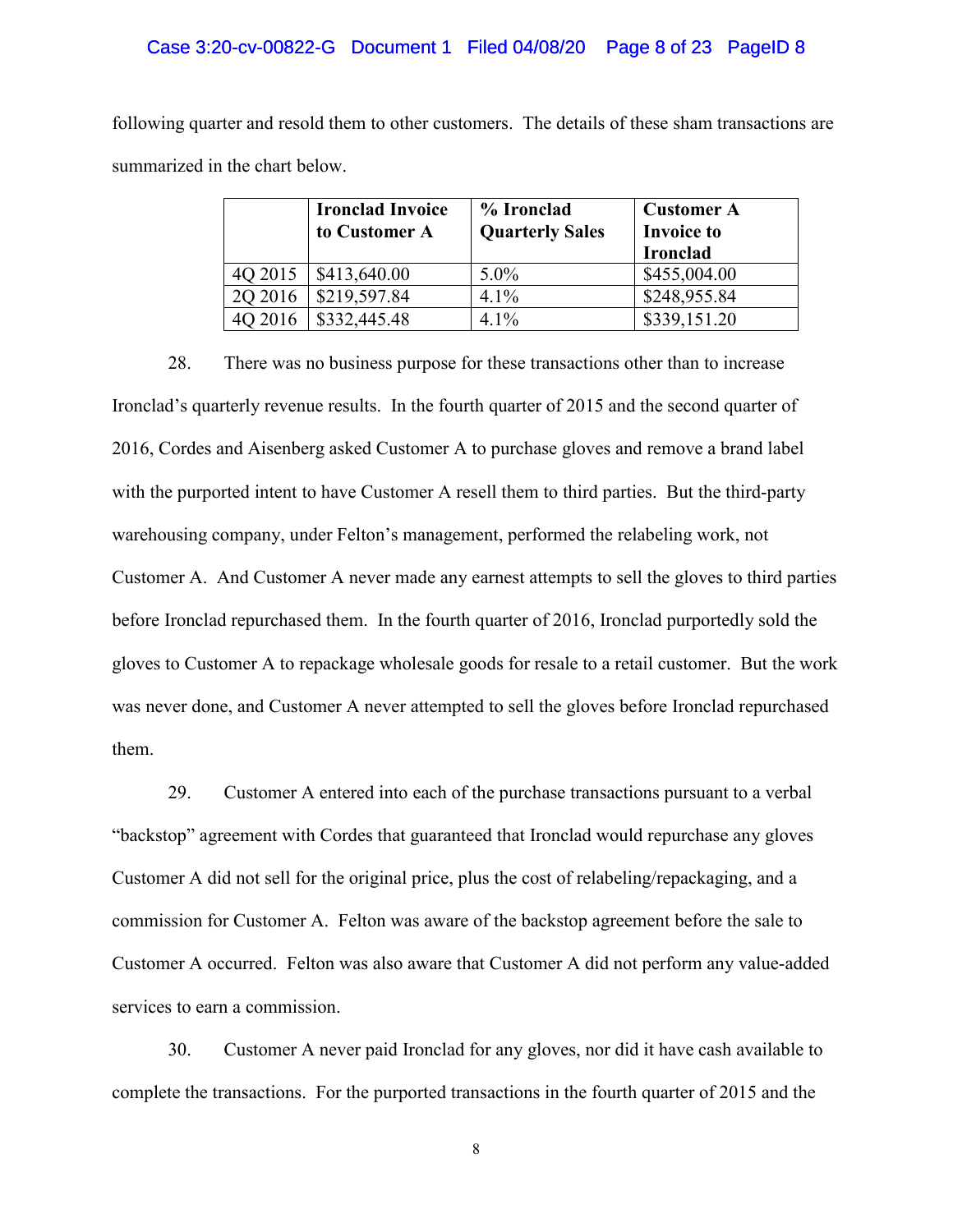#### Case 3:20-cv-00822-G Document 1 Filed 04/08/20 Page 8 of 23 PageID 8

following quarter and resold them to other customers. The details of these sham transactions are summarized in the chart below.

|         | <b>Ironclad Invoice</b><br>to Customer A | % Ironclad<br><b>Quarterly Sales</b> | <b>Customer A</b><br><b>Invoice to</b><br><b>Ironclad</b> |
|---------|------------------------------------------|--------------------------------------|-----------------------------------------------------------|
| 4Q 2015 | \$413,640.00                             | $5.0\%$                              | \$455,004.00                                              |
| 2Q 2016 | \$219,597.84                             | 4.1%                                 | \$248,955.84                                              |
| 4Q 2016 | \$332,445.48                             | $4.1\%$                              | \$339,151.20                                              |

28. There was no business purpose for these transactions other than to increase Ironclad's quarterly revenue results. In the fourth quarter of 2015 and the second quarter of 2016, Cordes and Aisenberg asked Customer A to purchase gloves and remove a brand label with the purported intent to have Customer A resell them to third parties. But the third-party warehousing company, under Felton's management, performed the relabeling work, not Customer A. And Customer A never made any earnest attempts to sell the gloves to third parties before Ironclad repurchased them. In the fourth quarter of 2016, Ironclad purportedly sold the gloves to Customer A to repackage wholesale goods for resale to a retail customer. But the work was never done, and Customer A never attempted to sell the gloves before Ironclad repurchased them.

29. Customer A entered into each of the purchase transactions pursuant to a verbal "backstop" agreement with Cordes that guaranteed that Ironclad would repurchase any gloves Customer A did not sell for the original price, plus the cost of relabeling/repackaging, and a commission for Customer A. Felton was aware of the backstop agreement before the sale to Customer A occurred. Felton was also aware that Customer A did not perform any value-added services to earn a commission.

30. Customer A never paid Ironclad for any gloves, nor did it have cash available to complete the transactions. For the purported transactions in the fourth quarter of 2015 and the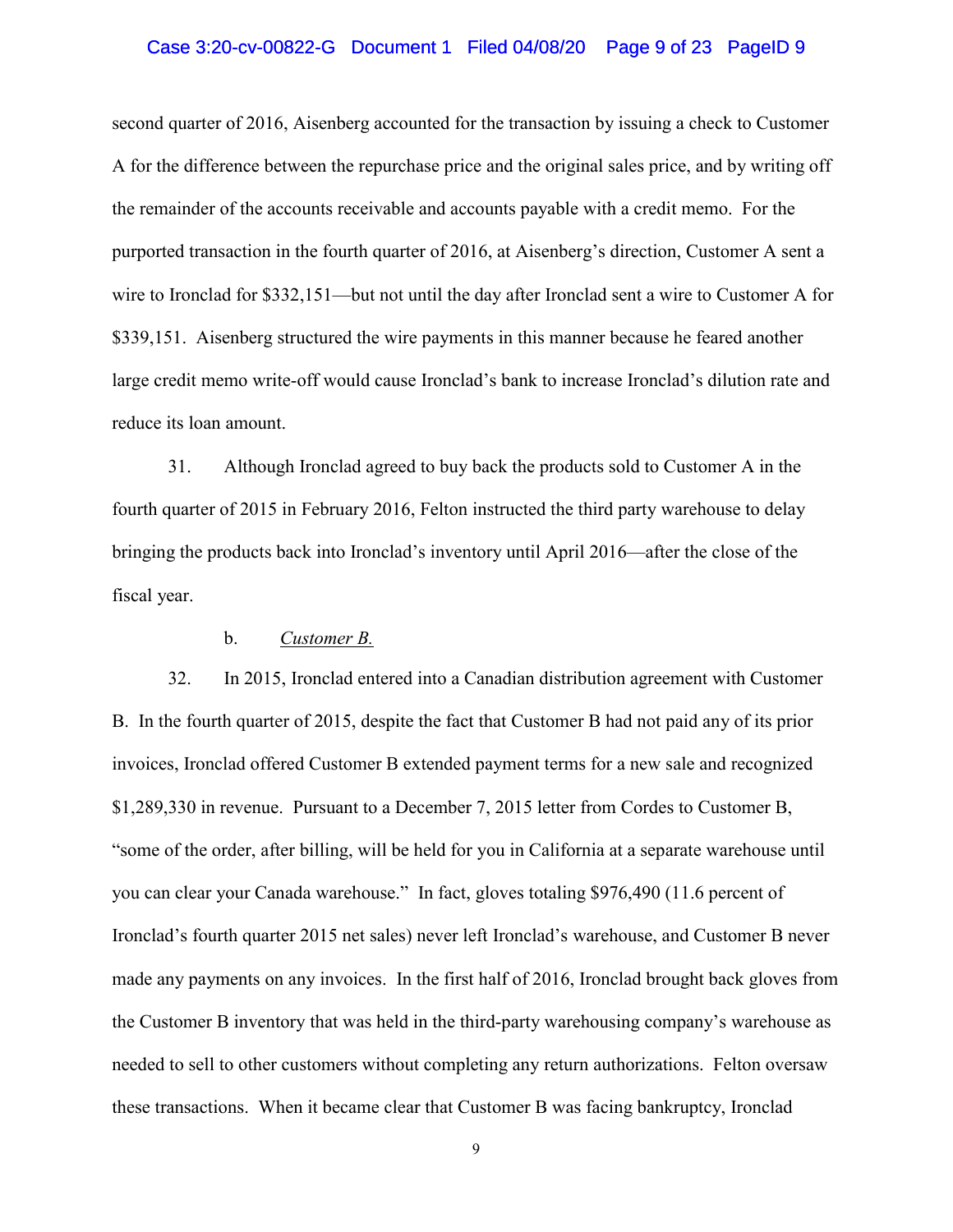### Case 3:20-cv-00822-G Document 1 Filed 04/08/20 Page 9 of 23 PageID 9

second quarter of 2016, Aisenberg accounted for the transaction by issuing a check to Customer A for the difference between the repurchase price and the original sales price, and by writing off the remainder of the accounts receivable and accounts payable with a credit memo. For the purported transaction in the fourth quarter of 2016, at Aisenberg's direction, Customer A sent a wire to Ironclad for \$332,151—but not until the day after Ironclad sent a wire to Customer A for \$339,151. Aisenberg structured the wire payments in this manner because he feared another large credit memo write-off would cause Ironclad's bank to increase Ironclad's dilution rate and reduce its loan amount.

31. Although Ironclad agreed to buy back the products sold to Customer A in the fourth quarter of 2015 in February 2016, Felton instructed the third party warehouse to delay bringing the products back into Ironclad's inventory until April 2016—after the close of the fiscal year.

## b. *Customer B.*

32. In 2015, Ironclad entered into a Canadian distribution agreement with Customer B. In the fourth quarter of 2015, despite the fact that Customer B had not paid any of its prior invoices, Ironclad offered Customer B extended payment terms for a new sale and recognized \$1,289,330 in revenue. Pursuant to a December 7, 2015 letter from Cordes to Customer B, "some of the order, after billing, will be held for you in California at a separate warehouse until you can clear your Canada warehouse." In fact, gloves totaling \$976,490 (11.6 percent of Ironclad's fourth quarter 2015 net sales) never left Ironclad's warehouse, and Customer B never made any payments on any invoices. In the first half of 2016, Ironclad brought back gloves from the Customer B inventory that was held in the third-party warehousing company's warehouse as needed to sell to other customers without completing any return authorizations. Felton oversaw these transactions. When it became clear that Customer B was facing bankruptcy, Ironclad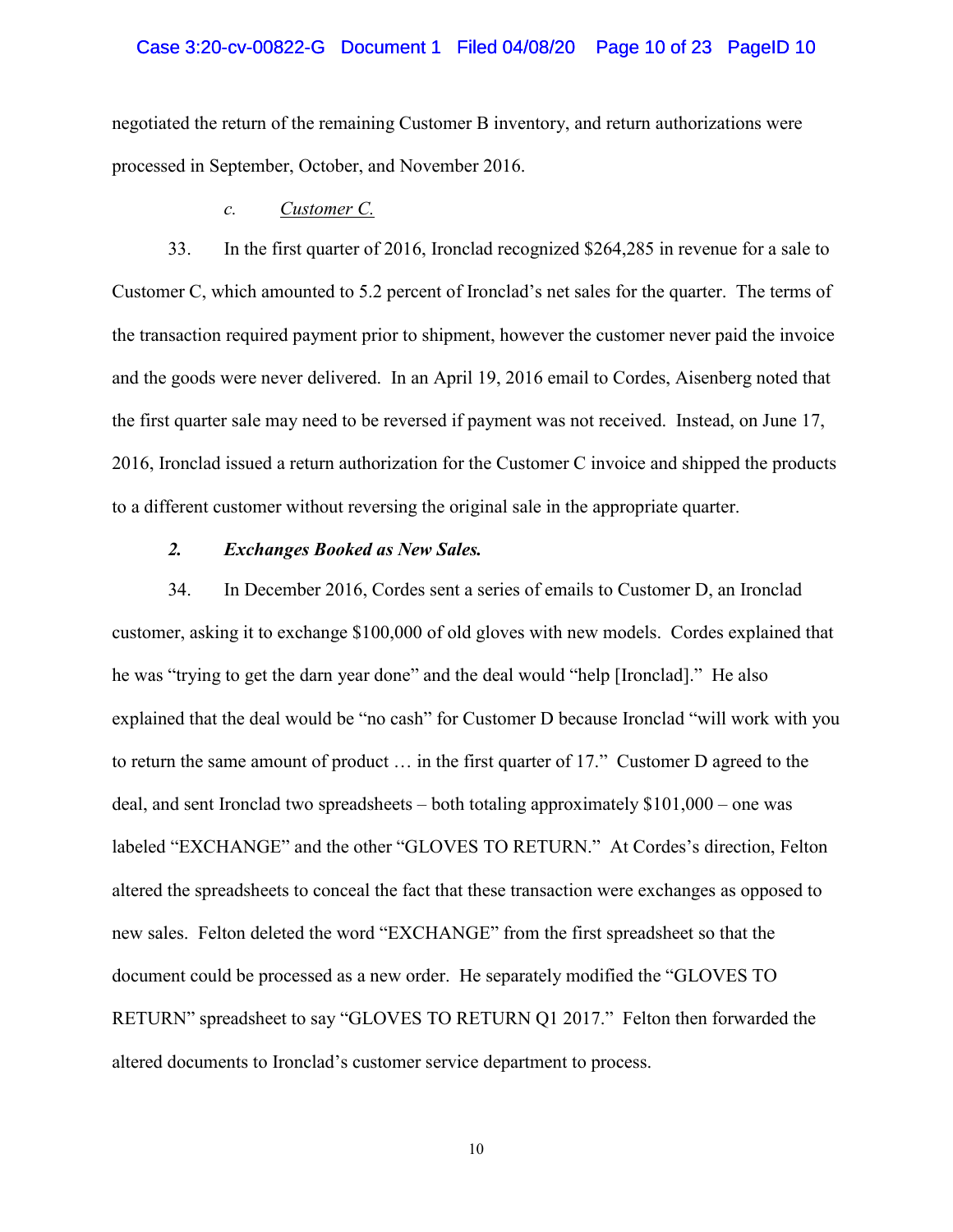#### Case 3:20-cv-00822-G Document 1 Filed 04/08/20 Page 10 of 23 PageID 10

negotiated the return of the remaining Customer B inventory, and return authorizations were processed in September, October, and November 2016.

### *c. Customer C.*

33. In the first quarter of 2016, Ironclad recognized \$264,285 in revenue for a sale to Customer C, which amounted to 5.2 percent of Ironclad's net sales for the quarter. The terms of the transaction required payment prior to shipment, however the customer never paid the invoice and the goods were never delivered. In an April 19, 2016 email to Cordes, Aisenberg noted that the first quarter sale may need to be reversed if payment was not received. Instead, on June 17, 2016, Ironclad issued a return authorization for the Customer C invoice and shipped the products to a different customer without reversing the original sale in the appropriate quarter.

### *2. Exchanges Booked as New Sales.*

34. In December 2016, Cordes sent a series of emails to Customer D, an Ironclad customer, asking it to exchange \$100,000 of old gloves with new models. Cordes explained that he was "trying to get the darn year done" and the deal would "help [Ironclad]." He also explained that the deal would be "no cash" for Customer D because Ironclad "will work with you to return the same amount of product … in the first quarter of 17." Customer D agreed to the deal, and sent Ironclad two spreadsheets – both totaling approximately \$101,000 – one was labeled "EXCHANGE" and the other "GLOVES TO RETURN." At Cordes's direction, Felton altered the spreadsheets to conceal the fact that these transaction were exchanges as opposed to new sales. Felton deleted the word "EXCHANGE" from the first spreadsheet so that the document could be processed as a new order. He separately modified the "GLOVES TO RETURN" spreadsheet to say "GLOVES TO RETURN Q1 2017." Felton then forwarded the altered documents to Ironclad's customer service department to process.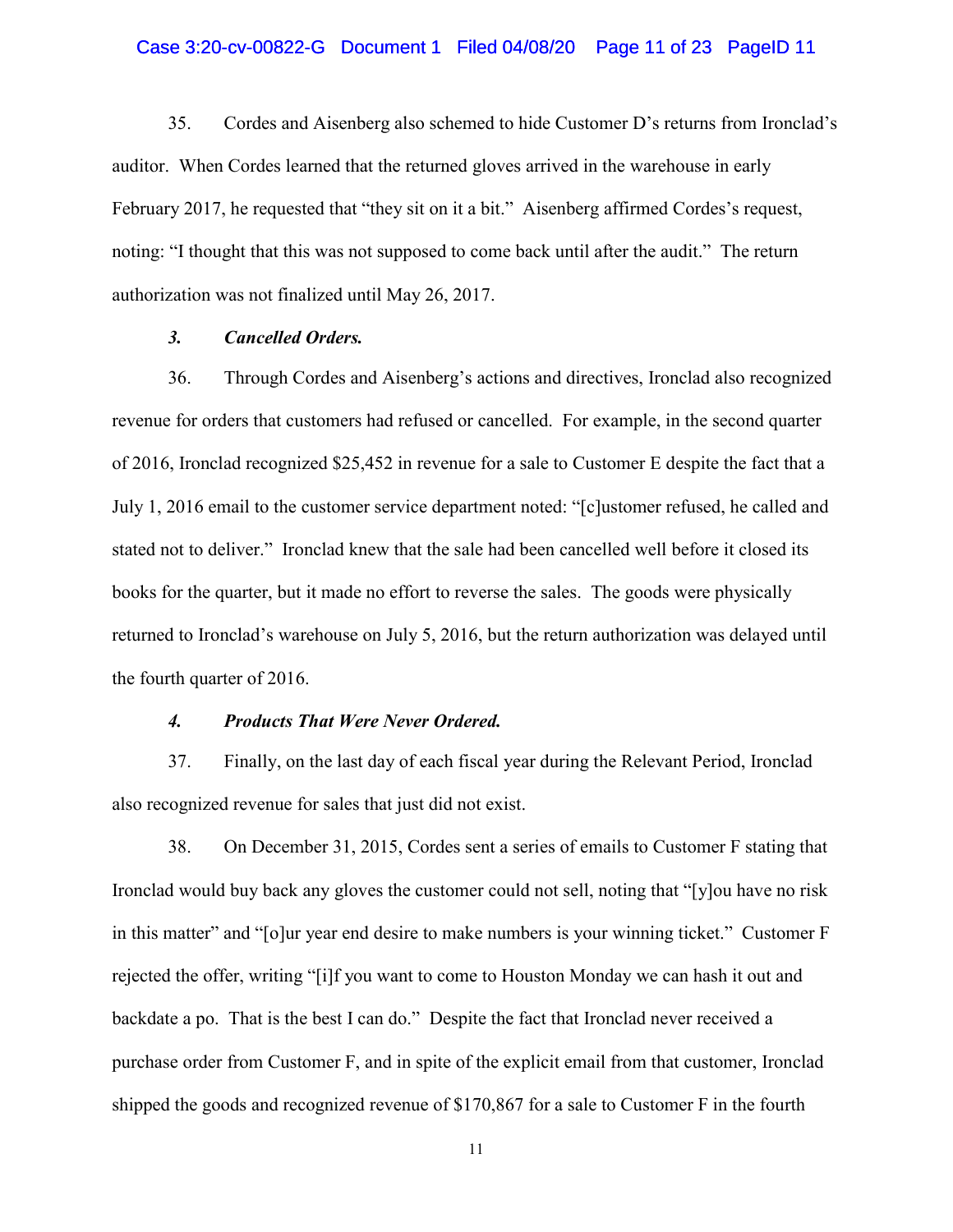### Case 3:20-cv-00822-G Document 1 Filed 04/08/20 Page 11 of 23 PageID 11

35. Cordes and Aisenberg also schemed to hide Customer D's returns from Ironclad's auditor. When Cordes learned that the returned gloves arrived in the warehouse in early February 2017, he requested that "they sit on it a bit." Aisenberg affirmed Cordes's request, noting: "I thought that this was not supposed to come back until after the audit." The return authorization was not finalized until May 26, 2017.

## *3. Cancelled Orders.*

36. Through Cordes and Aisenberg's actions and directives, Ironclad also recognized revenue for orders that customers had refused or cancelled. For example, in the second quarter of 2016, Ironclad recognized \$25,452 in revenue for a sale to Customer E despite the fact that a July 1, 2016 email to the customer service department noted: "[c]ustomer refused, he called and stated not to deliver." Ironclad knew that the sale had been cancelled well before it closed its books for the quarter, but it made no effort to reverse the sales. The goods were physically returned to Ironclad's warehouse on July 5, 2016, but the return authorization was delayed until the fourth quarter of 2016.

## *4. Products That Were Never Ordered.*

37. Finally, on the last day of each fiscal year during the Relevant Period, Ironclad also recognized revenue for sales that just did not exist.

38. On December 31, 2015, Cordes sent a series of emails to Customer F stating that Ironclad would buy back any gloves the customer could not sell, noting that "[y]ou have no risk in this matter" and "[o]ur year end desire to make numbers is your winning ticket." Customer F rejected the offer, writing "[i]f you want to come to Houston Monday we can hash it out and backdate a po. That is the best I can do." Despite the fact that Ironclad never received a purchase order from Customer F, and in spite of the explicit email from that customer, Ironclad shipped the goods and recognized revenue of \$170,867 for a sale to Customer F in the fourth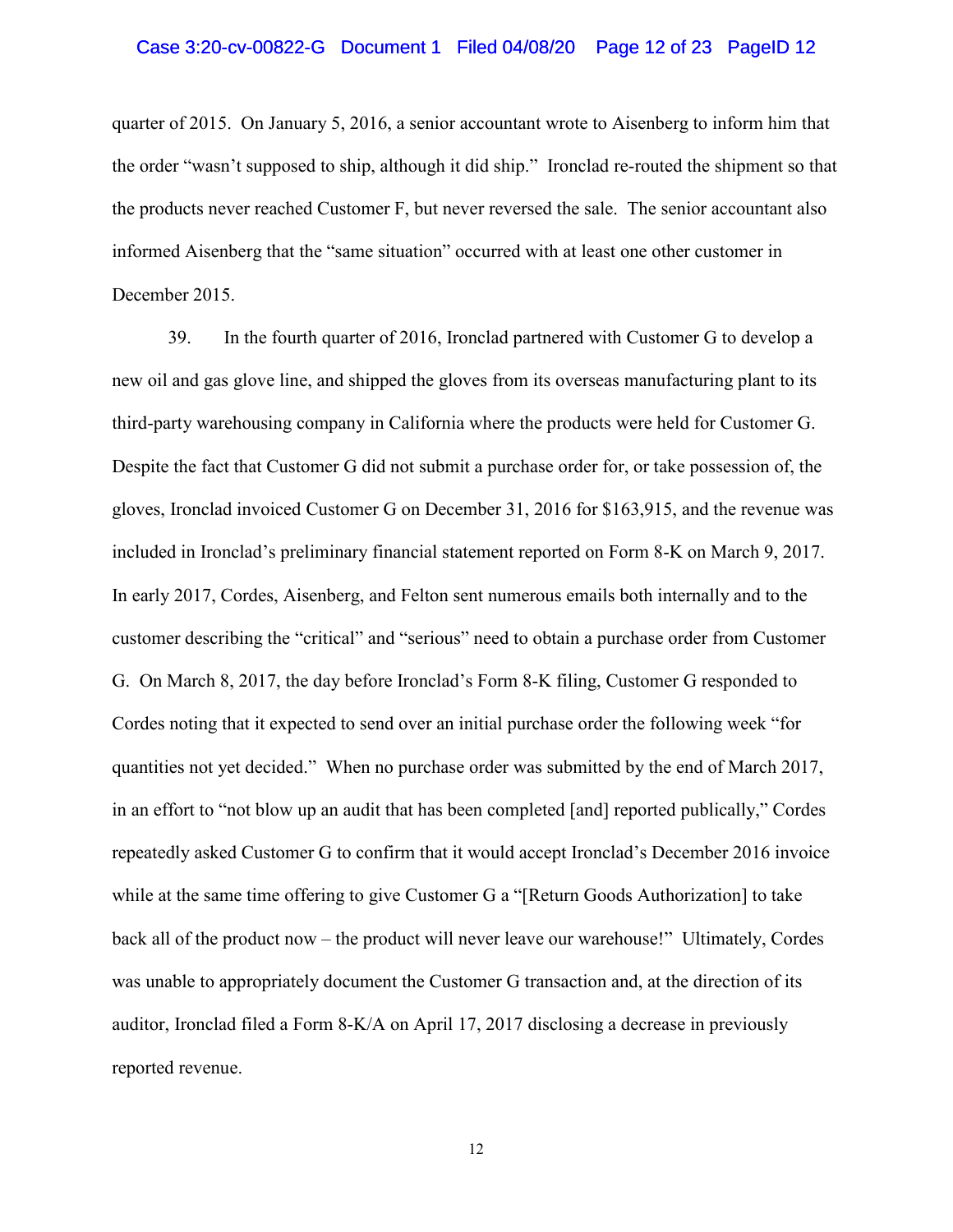### Case 3:20-cv-00822-G Document 1 Filed 04/08/20 Page 12 of 23 PageID 12

quarter of 2015. On January 5, 2016, a senior accountant wrote to Aisenberg to inform him that the order "wasn't supposed to ship, although it did ship." Ironclad re-routed the shipment so that the products never reached Customer F, but never reversed the sale. The senior accountant also informed Aisenberg that the "same situation" occurred with at least one other customer in December 2015.

39. In the fourth quarter of 2016, Ironclad partnered with Customer G to develop a new oil and gas glove line, and shipped the gloves from its overseas manufacturing plant to its third-party warehousing company in California where the products were held for Customer G. Despite the fact that Customer G did not submit a purchase order for, or take possession of, the gloves, Ironclad invoiced Customer G on December 31, 2016 for \$163,915, and the revenue was included in Ironclad's preliminary financial statement reported on Form 8-K on March 9, 2017. In early 2017, Cordes, Aisenberg, and Felton sent numerous emails both internally and to the customer describing the "critical" and "serious" need to obtain a purchase order from Customer G. On March 8, 2017, the day before Ironclad's Form 8-K filing, Customer G responded to Cordes noting that it expected to send over an initial purchase order the following week "for quantities not yet decided." When no purchase order was submitted by the end of March 2017, in an effort to "not blow up an audit that has been completed [and] reported publically," Cordes repeatedly asked Customer G to confirm that it would accept Ironclad's December 2016 invoice while at the same time offering to give Customer G a "[Return Goods Authorization] to take back all of the product now – the product will never leave our warehouse!" Ultimately, Cordes was unable to appropriately document the Customer G transaction and, at the direction of its auditor, Ironclad filed a Form 8-K/A on April 17, 2017 disclosing a decrease in previously reported revenue.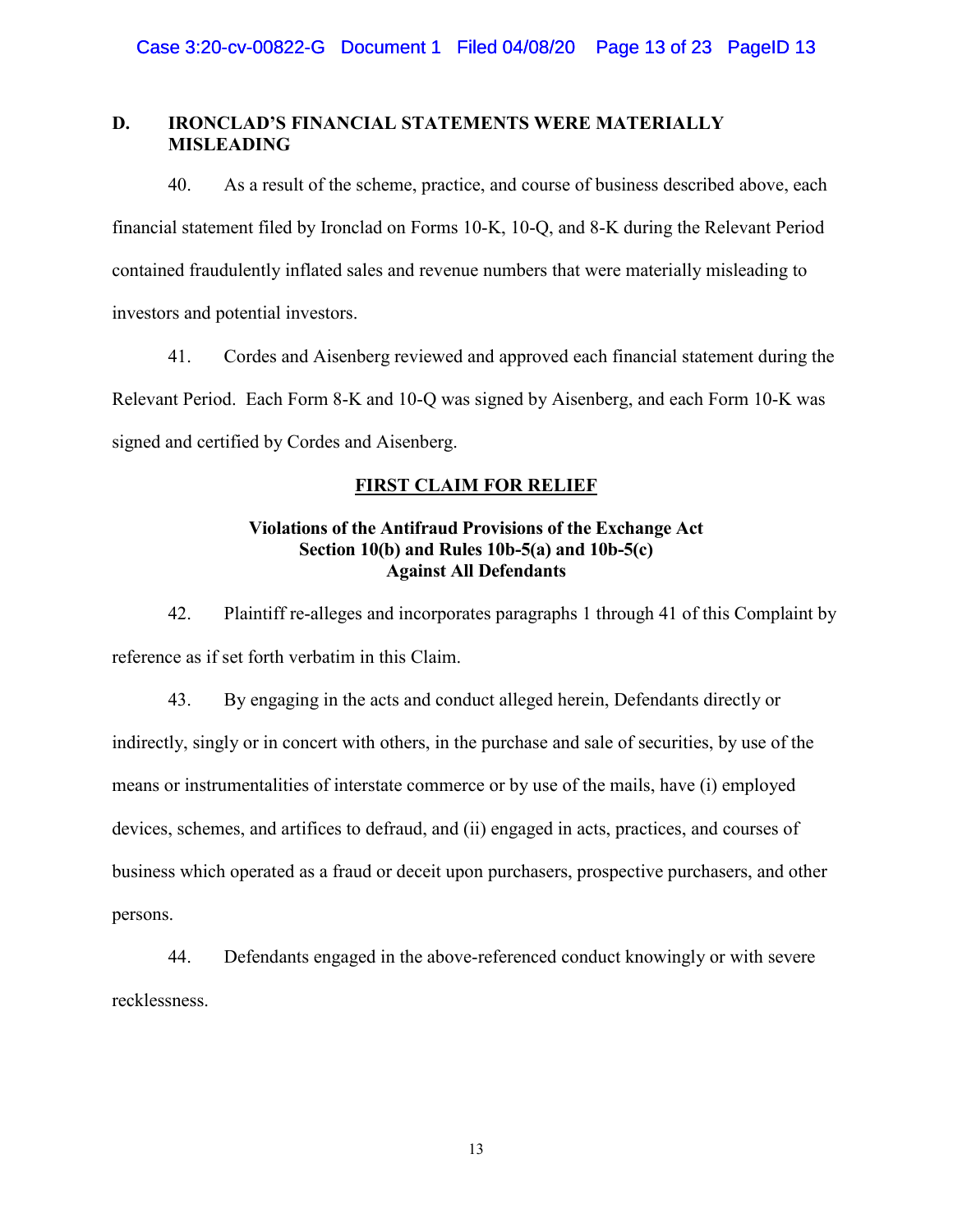# **D. IRONCLAD'S FINANCIAL STATEMENTS WERE MATERIALLY MISLEADING**

40. As a result of the scheme, practice, and course of business described above, each financial statement filed by Ironclad on Forms 10-K, 10-Q, and 8-K during the Relevant Period contained fraudulently inflated sales and revenue numbers that were materially misleading to investors and potential investors.

41. Cordes and Aisenberg reviewed and approved each financial statement during the Relevant Period. Each Form 8-K and 10-Q was signed by Aisenberg, and each Form 10-K was signed and certified by Cordes and Aisenberg.

# **FIRST CLAIM FOR RELIEF**

# **Violations of the Antifraud Provisions of the Exchange Act Section 10(b) and Rules 10b-5(a) and 10b-5(c) Against All Defendants**

42. Plaintiff re-alleges and incorporates paragraphs 1 through 41 of this Complaint by reference as if set forth verbatim in this Claim.

43. By engaging in the acts and conduct alleged herein, Defendants directly or indirectly, singly or in concert with others, in the purchase and sale of securities, by use of the means or instrumentalities of interstate commerce or by use of the mails, have (i) employed devices, schemes, and artifices to defraud, and (ii) engaged in acts, practices, and courses of business which operated as a fraud or deceit upon purchasers, prospective purchasers, and other persons.

44. Defendants engaged in the above-referenced conduct knowingly or with severe recklessness.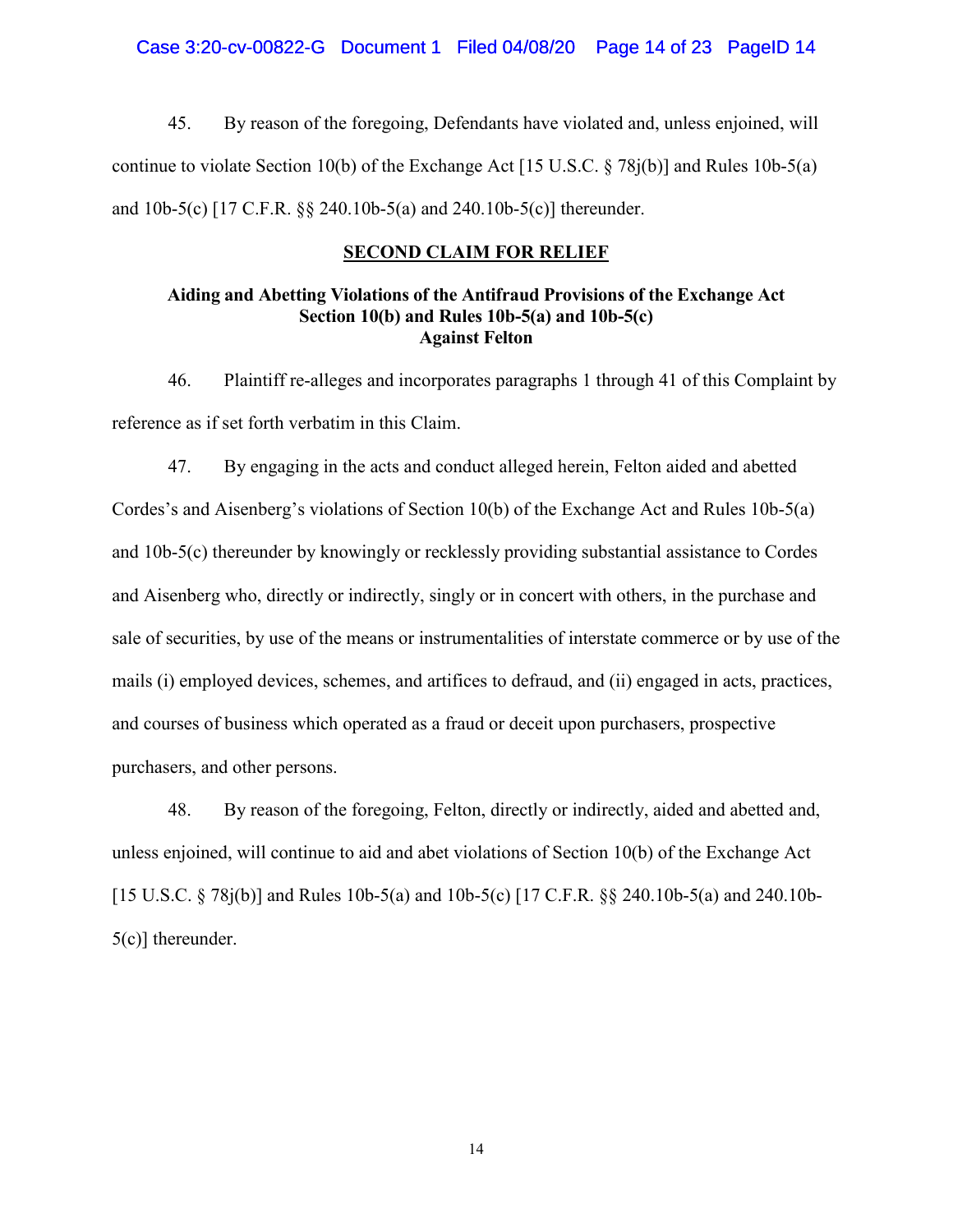Case 3:20-cv-00822-G Document 1 Filed 04/08/20 Page 14 of 23 PageID 14

45. By reason of the foregoing, Defendants have violated and, unless enjoined, will continue to violate Section 10(b) of the Exchange Act [15 U.S.C. § 78j(b)] and Rules 10b-5(a) and 10b-5(c) [17 C.F.R. §§ 240.10b-5(a) and 240.10b-5(c)] thereunder.

### **SECOND CLAIM FOR RELIEF**

## **Aiding and Abetting Violations of the Antifraud Provisions of the Exchange Act Section 10(b) and Rules 10b-5(a) and 10b-5(c) Against Felton**

46. Plaintiff re-alleges and incorporates paragraphs 1 through 41 of this Complaint by reference as if set forth verbatim in this Claim.

47. By engaging in the acts and conduct alleged herein, Felton aided and abetted Cordes's and Aisenberg's violations of Section 10(b) of the Exchange Act and Rules 10b-5(a) and 10b-5(c) thereunder by knowingly or recklessly providing substantial assistance to Cordes and Aisenberg who, directly or indirectly, singly or in concert with others, in the purchase and sale of securities, by use of the means or instrumentalities of interstate commerce or by use of the mails (i) employed devices, schemes, and artifices to defraud, and (ii) engaged in acts, practices, and courses of business which operated as a fraud or deceit upon purchasers, prospective purchasers, and other persons.

48. By reason of the foregoing, Felton, directly or indirectly, aided and abetted and, unless enjoined, will continue to aid and abet violations of Section 10(b) of the Exchange Act [15 U.S.C. § 78j(b)] and Rules 10b-5(a) and 10b-5(c) [17 C.F.R. §§ 240.10b-5(a) and 240.10b-5(c)] thereunder.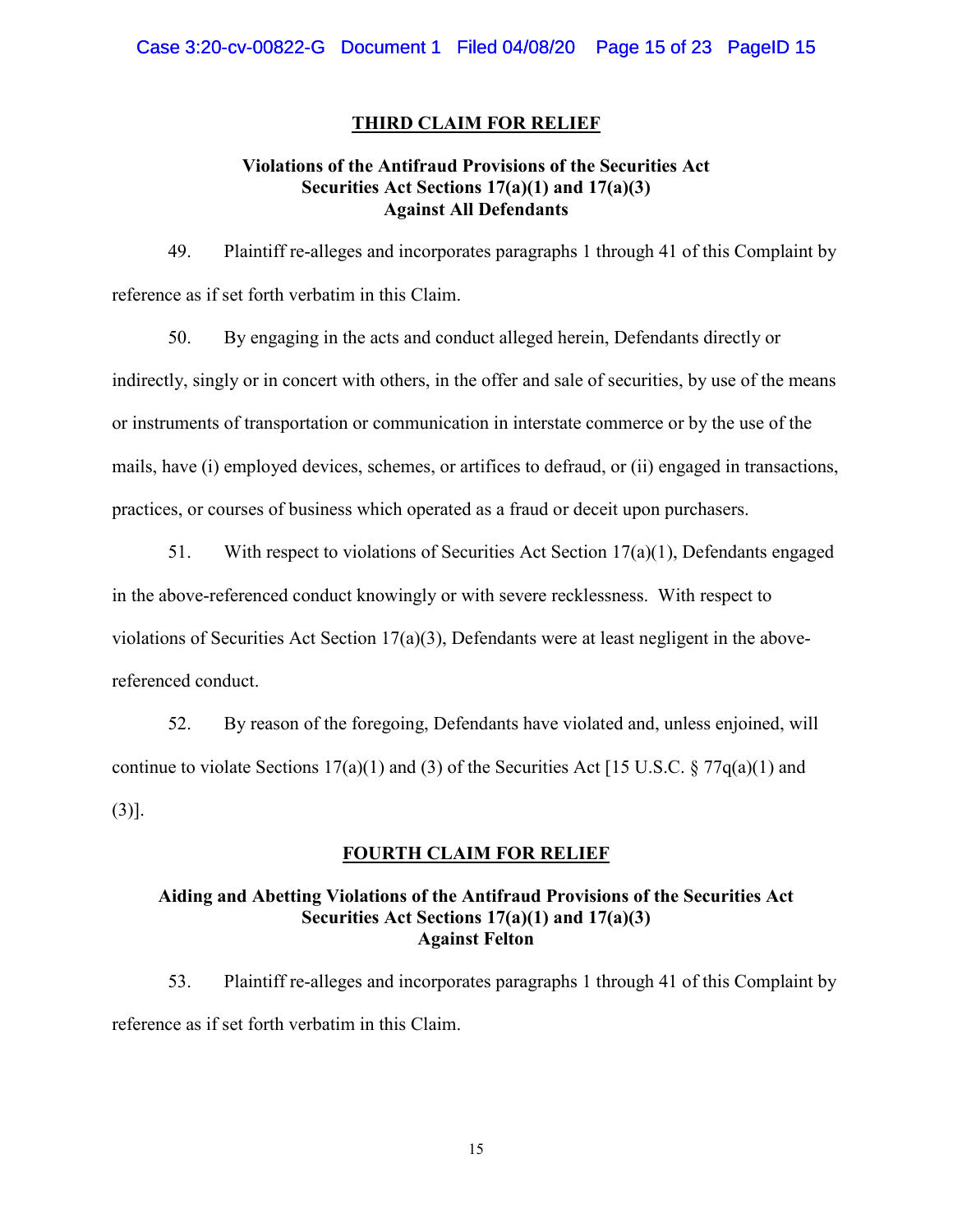### **THIRD CLAIM FOR RELIEF**

## **Violations of the Antifraud Provisions of the Securities Act Securities Act Sections 17(a)(1) and 17(a)(3) Against All Defendants**

49. Plaintiff re-alleges and incorporates paragraphs 1 through 41 of this Complaint by reference as if set forth verbatim in this Claim.

50. By engaging in the acts and conduct alleged herein, Defendants directly or indirectly, singly or in concert with others, in the offer and sale of securities, by use of the means or instruments of transportation or communication in interstate commerce or by the use of the mails, have (i) employed devices, schemes, or artifices to defraud, or (ii) engaged in transactions, practices, or courses of business which operated as a fraud or deceit upon purchasers.

51. With respect to violations of Securities Act Section 17(a)(1), Defendants engaged in the above-referenced conduct knowingly or with severe recklessness. With respect to violations of Securities Act Section  $17(a)(3)$ , Defendants were at least negligent in the abovereferenced conduct.

52. By reason of the foregoing, Defendants have violated and, unless enjoined, will continue to violate Sections 17(a)(1) and (3) of the Securities Act [15 U.S.C. § 77 $q(a)(1)$  and (3)].

# **FOURTH CLAIM FOR RELIEF**

# **Aiding and Abetting Violations of the Antifraud Provisions of the Securities Act Securities Act Sections 17(a)(1) and 17(a)(3) Against Felton**

53. Plaintiff re-alleges and incorporates paragraphs 1 through 41 of this Complaint by reference as if set forth verbatim in this Claim.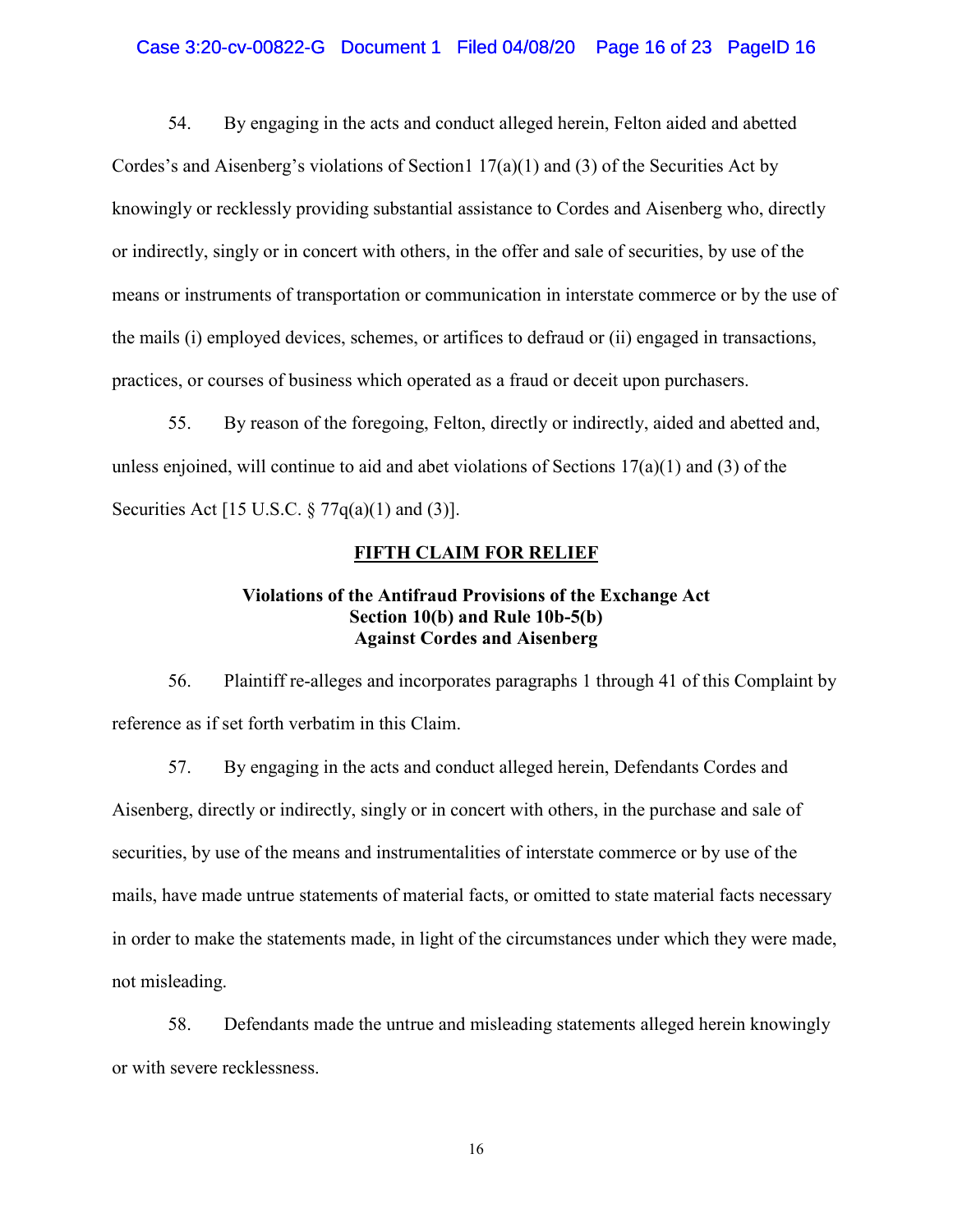## Case 3:20-cv-00822-G Document 1 Filed 04/08/20 Page 16 of 23 PageID 16

54. By engaging in the acts and conduct alleged herein, Felton aided and abetted Cordes's and Aisenberg's violations of Section1  $17(a)(1)$  and (3) of the Securities Act by knowingly or recklessly providing substantial assistance to Cordes and Aisenberg who, directly or indirectly, singly or in concert with others, in the offer and sale of securities, by use of the means or instruments of transportation or communication in interstate commerce or by the use of the mails (i) employed devices, schemes, or artifices to defraud or (ii) engaged in transactions, practices, or courses of business which operated as a fraud or deceit upon purchasers.

55. By reason of the foregoing, Felton, directly or indirectly, aided and abetted and, unless enjoined, will continue to aid and abet violations of Sections  $17(a)(1)$  and (3) of the Securities Act [15 U.S.C. § 77q(a)(1) and (3)].

### **FIFTH CLAIM FOR RELIEF**

## **Violations of the Antifraud Provisions of the Exchange Act Section 10(b) and Rule 10b-5(b) Against Cordes and Aisenberg**

56. Plaintiff re-alleges and incorporates paragraphs 1 through 41 of this Complaint by reference as if set forth verbatim in this Claim.

57. By engaging in the acts and conduct alleged herein, Defendants Cordes and Aisenberg, directly or indirectly, singly or in concert with others, in the purchase and sale of securities, by use of the means and instrumentalities of interstate commerce or by use of the mails, have made untrue statements of material facts, or omitted to state material facts necessary in order to make the statements made, in light of the circumstances under which they were made, not misleading.

58. Defendants made the untrue and misleading statements alleged herein knowingly or with severe recklessness.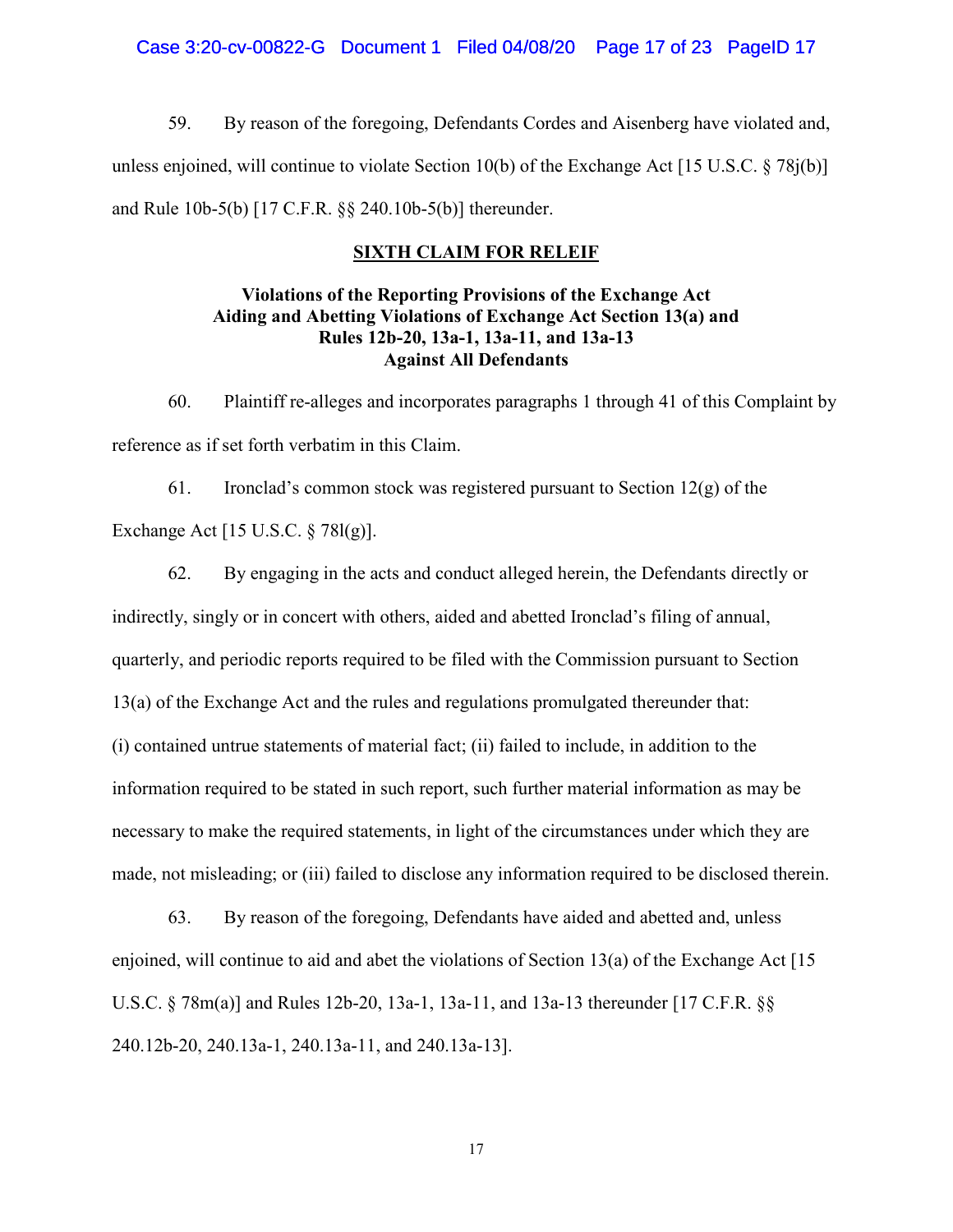59. By reason of the foregoing, Defendants Cordes and Aisenberg have violated and, unless enjoined, will continue to violate Section 10(b) of the Exchange Act [15 U.S.C. § 78j(b)] and Rule 10b-5(b) [17 C.F.R. §§ 240.10b-5(b)] thereunder.

## **SIXTH CLAIM FOR RELEIF**

# **Violations of the Reporting Provisions of the Exchange Act Aiding and Abetting Violations of Exchange Act Section 13(a) and Rules 12b-20, 13a-1, 13a-11, and 13a-13 Against All Defendants**

60. Plaintiff re-alleges and incorporates paragraphs 1 through 41 of this Complaint by reference as if set forth verbatim in this Claim.

61. Ironclad's common stock was registered pursuant to Section  $12(g)$  of the Exchange Act [15 U.S.C. § 78l(g)].

62. By engaging in the acts and conduct alleged herein, the Defendants directly or indirectly, singly or in concert with others, aided and abetted Ironclad's filing of annual, quarterly, and periodic reports required to be filed with the Commission pursuant to Section 13(a) of the Exchange Act and the rules and regulations promulgated thereunder that: (i) contained untrue statements of material fact; (ii) failed to include, in addition to the information required to be stated in such report, such further material information as may be necessary to make the required statements, in light of the circumstances under which they are made, not misleading; or (iii) failed to disclose any information required to be disclosed therein.

63. By reason of the foregoing, Defendants have aided and abetted and, unless enjoined, will continue to aid and abet the violations of Section 13(a) of the Exchange Act [15 U.S.C. § 78m(a)] and Rules 12b-20, 13a-1, 13a-11, and 13a-13 thereunder [17 C.F.R. §§ 240.12b-20, 240.13a-1, 240.13a-11, and 240.13a-13].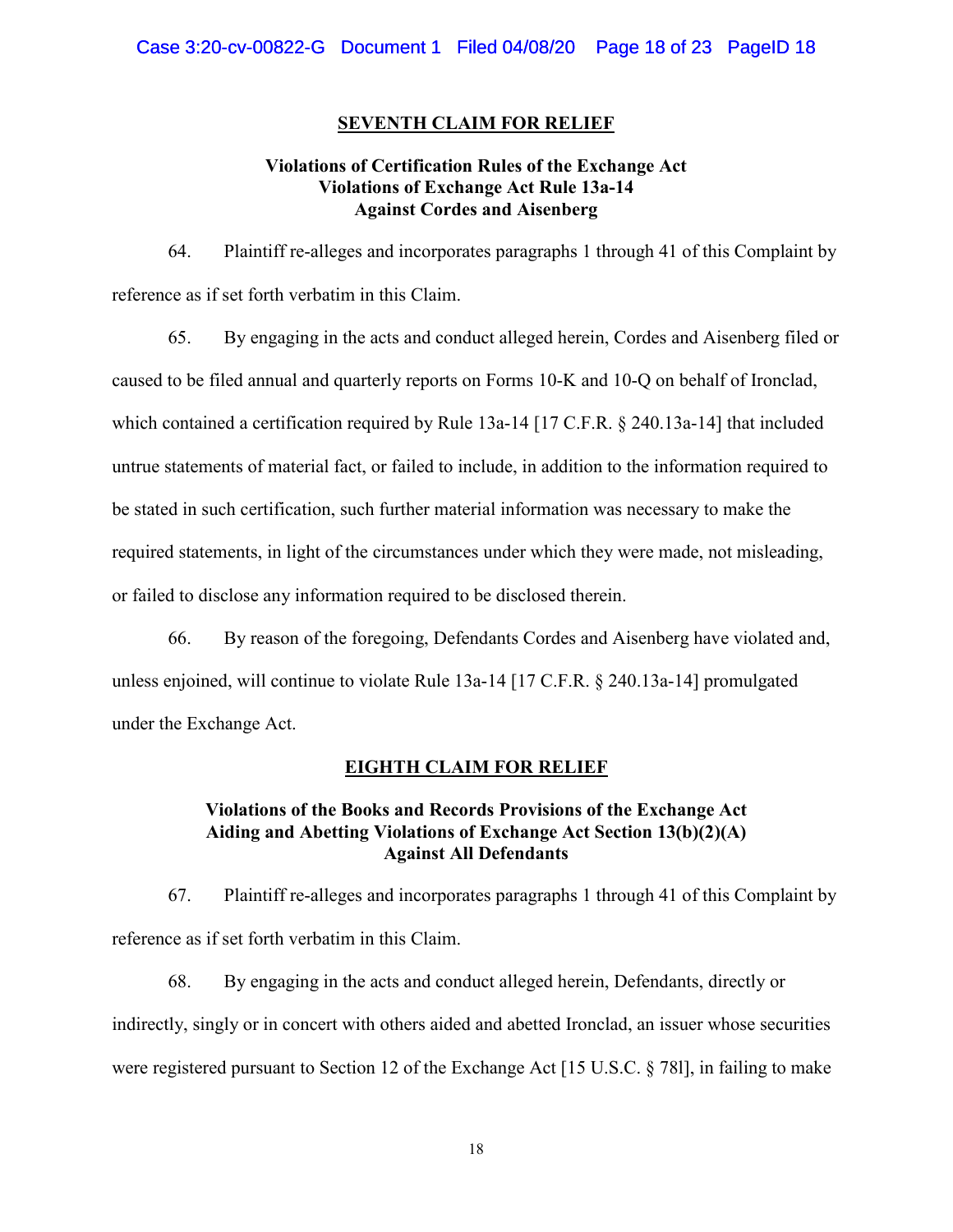### **SEVENTH CLAIM FOR RELIEF**

## **Violations of Certification Rules of the Exchange Act Violations of Exchange Act Rule 13a-14 Against Cordes and Aisenberg**

64. Plaintiff re-alleges and incorporates paragraphs 1 through 41 of this Complaint by reference as if set forth verbatim in this Claim.

65. By engaging in the acts and conduct alleged herein, Cordes and Aisenberg filed or caused to be filed annual and quarterly reports on Forms 10-K and 10-Q on behalf of Ironclad, which contained a certification required by Rule 13a-14 [17 C.F.R. § 240.13a-14] that included untrue statements of material fact, or failed to include, in addition to the information required to be stated in such certification, such further material information was necessary to make the required statements, in light of the circumstances under which they were made, not misleading, or failed to disclose any information required to be disclosed therein.

66. By reason of the foregoing, Defendants Cordes and Aisenberg have violated and, unless enjoined, will continue to violate Rule 13a-14 [17 C.F.R. § 240.13a-14] promulgated under the Exchange Act.

#### **EIGHTH CLAIM FOR RELIEF**

# **Violations of the Books and Records Provisions of the Exchange Act Aiding and Abetting Violations of Exchange Act Section 13(b)(2)(A) Against All Defendants**

67. Plaintiff re-alleges and incorporates paragraphs 1 through 41 of this Complaint by reference as if set forth verbatim in this Claim.

68. By engaging in the acts and conduct alleged herein, Defendants, directly or indirectly, singly or in concert with others aided and abetted Ironclad, an issuer whose securities were registered pursuant to Section 12 of the Exchange Act [15 U.S.C. § 78l], in failing to make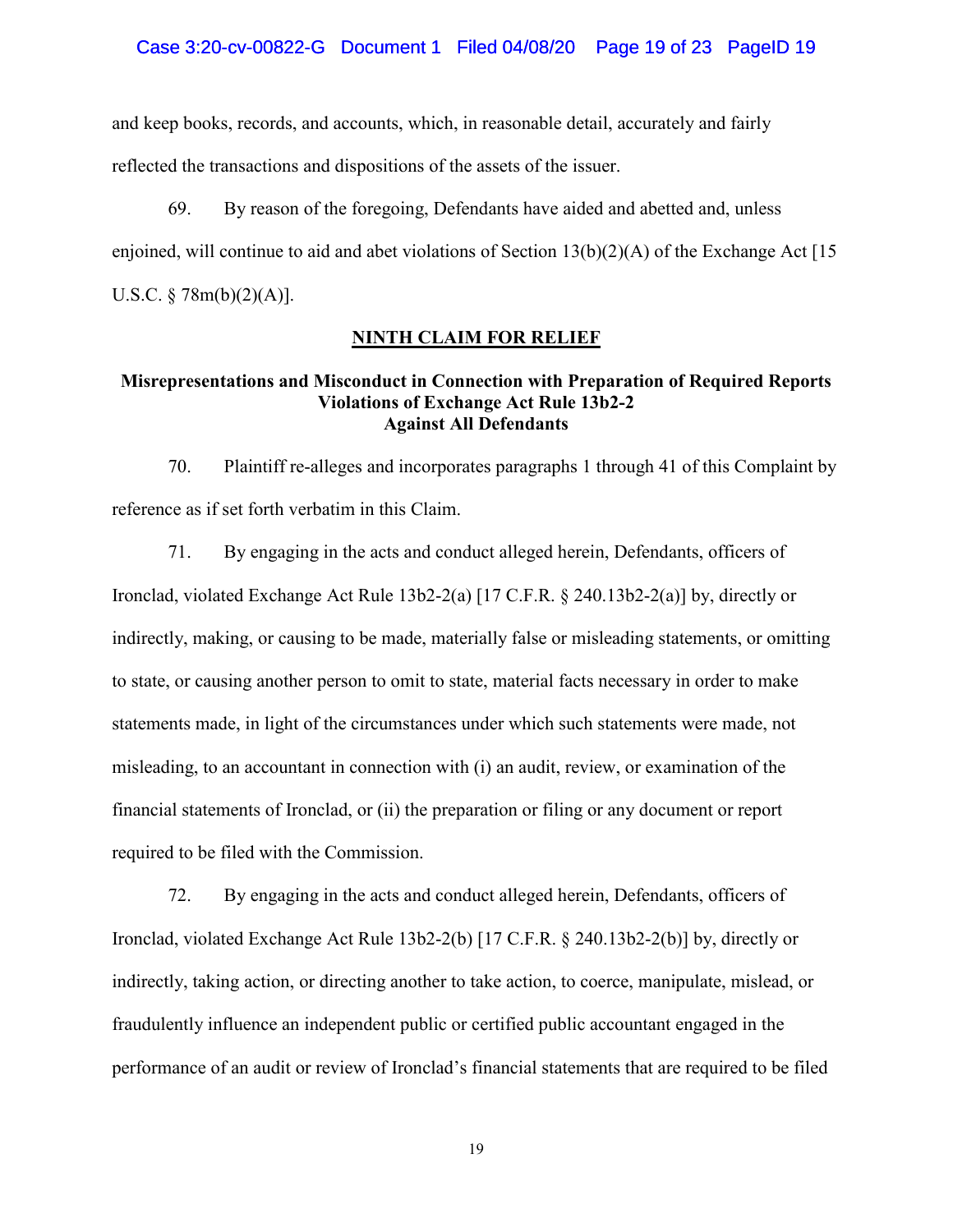#### Case 3:20-cv-00822-G Document 1 Filed 04/08/20 Page 19 of 23 PageID 19

and keep books, records, and accounts, which, in reasonable detail, accurately and fairly reflected the transactions and dispositions of the assets of the issuer.

69. By reason of the foregoing, Defendants have aided and abetted and, unless enjoined, will continue to aid and abet violations of Section  $13(b)(2)(A)$  of the Exchange Act [15] U.S.C. § 78m(b)(2)(A)].

### **NINTH CLAIM FOR RELIEF**

## **Misrepresentations and Misconduct in Connection with Preparation of Required Reports Violations of Exchange Act Rule 13b2-2 Against All Defendants**

70. Plaintiff re-alleges and incorporates paragraphs 1 through 41 of this Complaint by reference as if set forth verbatim in this Claim.

71. By engaging in the acts and conduct alleged herein, Defendants, officers of Ironclad, violated Exchange Act Rule  $13b2-2(a)$  [17 C.F.R. § 240.13b2-2(a)] by, directly or indirectly, making, or causing to be made, materially false or misleading statements, or omitting to state, or causing another person to omit to state, material facts necessary in order to make statements made, in light of the circumstances under which such statements were made, not misleading, to an accountant in connection with (i) an audit, review, or examination of the financial statements of Ironclad, or (ii) the preparation or filing or any document or report required to be filed with the Commission.

72. By engaging in the acts and conduct alleged herein, Defendants, officers of Ironclad, violated Exchange Act Rule 13b2-2(b) [17 C.F.R. § 240.13b2-2(b)] by, directly or indirectly, taking action, or directing another to take action, to coerce, manipulate, mislead, or fraudulently influence an independent public or certified public accountant engaged in the performance of an audit or review of Ironclad's financial statements that are required to be filed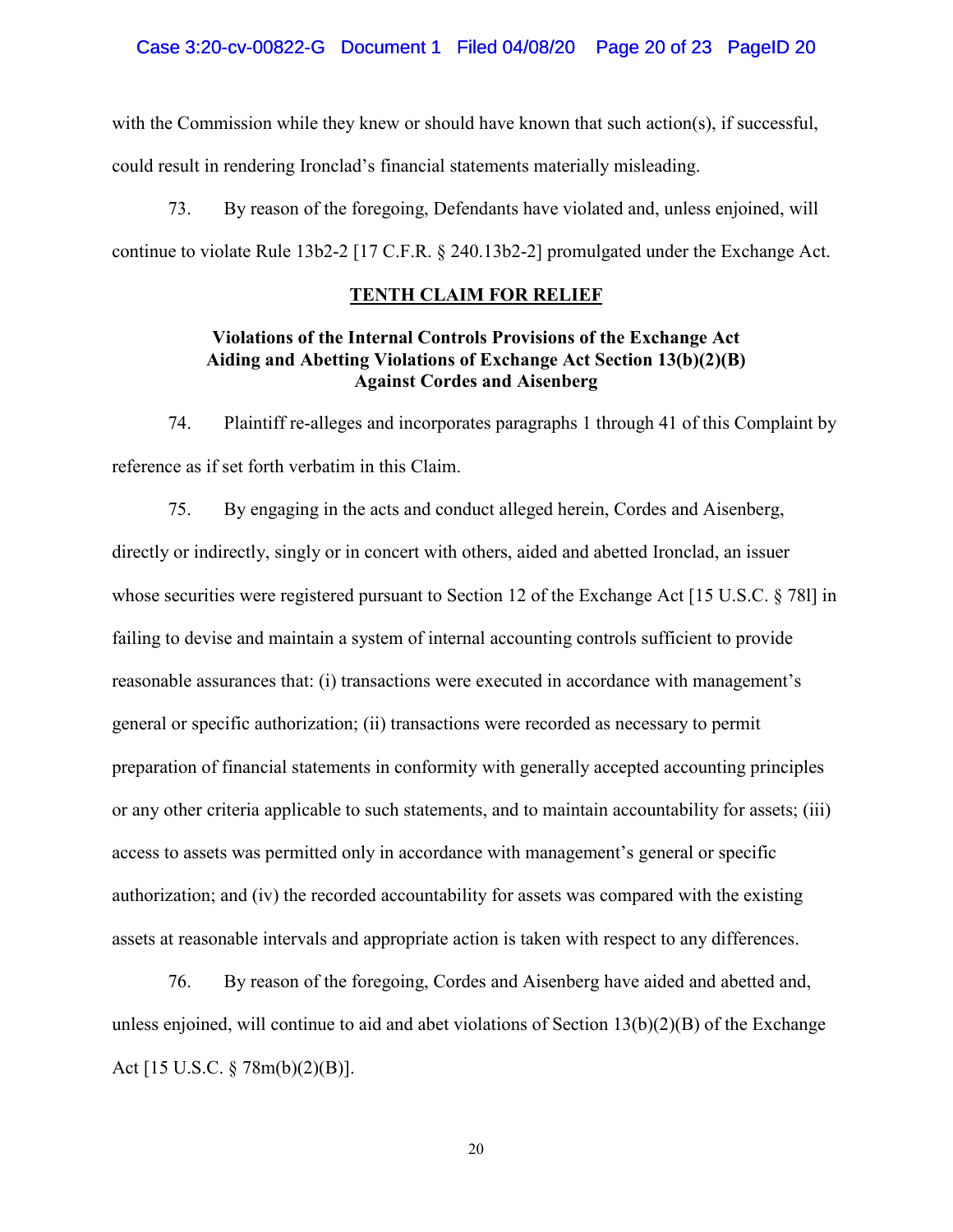with the Commission while they knew or should have known that such action(s), if successful, could result in rendering Ironclad's financial statements materially misleading.

73. By reason of the foregoing, Defendants have violated and, unless enjoined, will continue to violate Rule 13b2-2 [17 C.F.R. § 240.13b2-2] promulgated under the Exchange Act.

### **TENTH CLAIM FOR RELIEF**

# **Violations of the Internal Controls Provisions of the Exchange Act Aiding and Abetting Violations of Exchange Act Section 13(b)(2)(B) Against Cordes and Aisenberg**

74. Plaintiff re-alleges and incorporates paragraphs 1 through 41 of this Complaint by reference as if set forth verbatim in this Claim.

75. By engaging in the acts and conduct alleged herein, Cordes and Aisenberg, directly or indirectly, singly or in concert with others, aided and abetted Ironclad, an issuer whose securities were registered pursuant to Section 12 of the Exchange Act [15 U.S.C. § 781] in failing to devise and maintain a system of internal accounting controls sufficient to provide reasonable assurances that: (i) transactions were executed in accordance with management's general or specific authorization; (ii) transactions were recorded as necessary to permit preparation of financial statements in conformity with generally accepted accounting principles or any other criteria applicable to such statements, and to maintain accountability for assets; (iii) access to assets was permitted only in accordance with management's general or specific authorization; and (iv) the recorded accountability for assets was compared with the existing assets at reasonable intervals and appropriate action is taken with respect to any differences.

76. By reason of the foregoing, Cordes and Aisenberg have aided and abetted and, unless enjoined, will continue to aid and abet violations of Section 13(b)(2)(B) of the Exchange Act [15 U.S.C. § 78m(b)(2)(B)].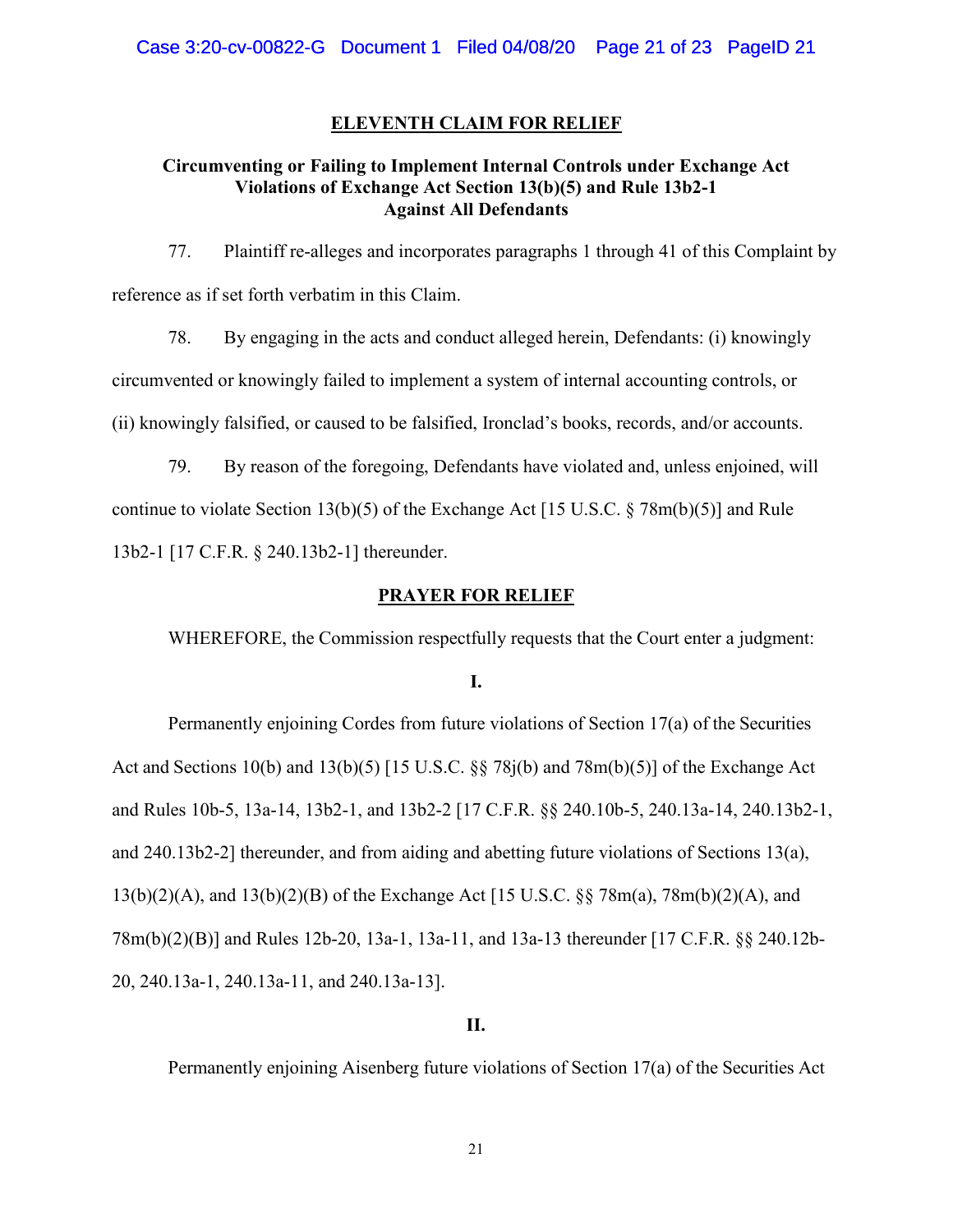### **ELEVENTH CLAIM FOR RELIEF**

## **Circumventing or Failing to Implement Internal Controls under Exchange Act Violations of Exchange Act Section 13(b)(5) and Rule 13b2-1 Against All Defendants**

77. Plaintiff re-alleges and incorporates paragraphs 1 through 41 of this Complaint by reference as if set forth verbatim in this Claim.

78. By engaging in the acts and conduct alleged herein, Defendants: (i) knowingly circumvented or knowingly failed to implement a system of internal accounting controls, or (ii) knowingly falsified, or caused to be falsified, Ironclad's books, records, and/or accounts.

79. By reason of the foregoing, Defendants have violated and, unless enjoined, will continue to violate Section 13(b)(5) of the Exchange Act [15 U.S.C. § 78m(b)(5)] and Rule 13b2-1 [17 C.F.R. § 240.13b2-1] thereunder.

### **PRAYER FOR RELIEF**

WHEREFORE, the Commission respectfully requests that the Court enter a judgment:

**I.** 

Permanently enjoining Cordes from future violations of Section 17(a) of the Securities Act and Sections 10(b) and 13(b)(5) [15 U.S.C. §§ 78j(b) and 78m(b)(5)] of the Exchange Act and Rules 10b-5, 13a-14, 13b2-1, and 13b2-2 [17 C.F.R. §§ 240.10b-5, 240.13a-14, 240.13b2-1, and 240.13b2-2] thereunder, and from aiding and abetting future violations of Sections 13(a), 13(b)(2)(A), and 13(b)(2)(B) of the Exchange Act [15 U.S.C. §§ 78m(a), 78m(b)(2)(A), and 78m(b)(2)(B)] and Rules 12b-20, 13a-1, 13a-11, and 13a-13 thereunder [17 C.F.R. §§ 240.12b-20, 240.13a-1, 240.13a-11, and 240.13a-13].

## **II.**

Permanently enjoining Aisenberg future violations of Section 17(a) of the Securities Act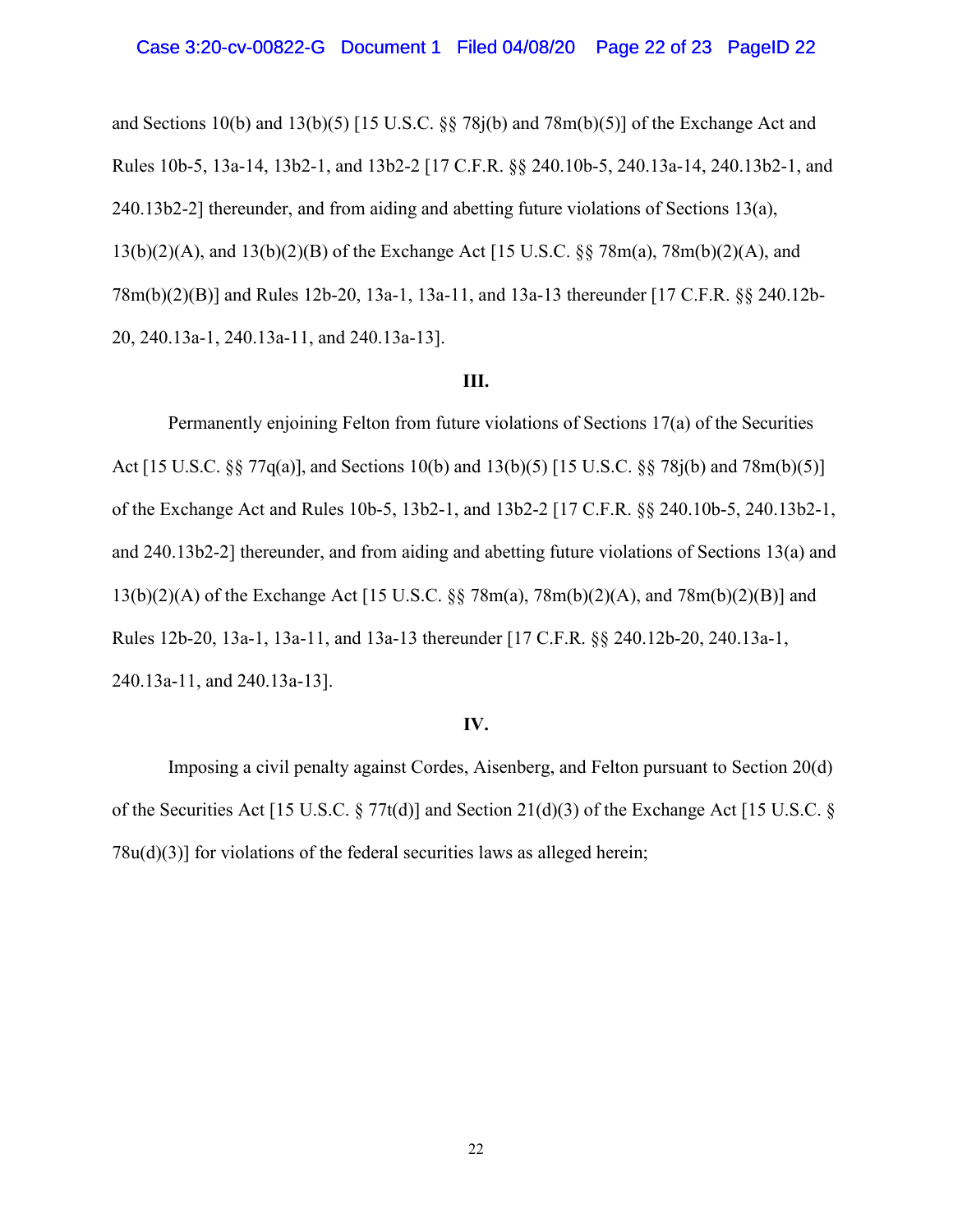and Sections 10(b) and 13(b)(5) [15 U.S.C. §§ 78j(b) and 78m(b)(5)] of the Exchange Act and Rules 10b-5, 13a-14, 13b2-1, and 13b2-2 [17 C.F.R. §§ 240.10b-5, 240.13a-14, 240.13b2-1, and  $240.13b2-2$ ] thereunder, and from aiding and abetting future violations of Sections 13(a), 13(b)(2)(A), and 13(b)(2)(B) of the Exchange Act [15 U.S.C. §§ 78m(a), 78m(b)(2)(A), and 78m(b)(2)(B)] and Rules 12b-20, 13a-1, 13a-11, and 13a-13 thereunder [17 C.F.R. §§ 240.12b-20, 240.13a-1, 240.13a-11, and 240.13a-13].

#### **III.**

Permanently enjoining Felton from future violations of Sections 17(a) of the Securities Act [15 U.S.C. §§ 77q(a)], and Sections 10(b) and 13(b)(5) [15 U.S.C. §§ 78j(b) and 78m(b)(5)] of the Exchange Act and Rules 10b-5, 13b2-1, and 13b2-2 [17 C.F.R. §§ 240.10b-5, 240.13b2-1, and 240.13b2-2] thereunder, and from aiding and abetting future violations of Sections 13(a) and 13(b)(2)(A) of the Exchange Act [15 U.S.C. §§ 78m(a), 78m(b)(2)(A), and 78m(b)(2)(B)] and Rules 12b-20, 13a-1, 13a-11, and 13a-13 thereunder [17 C.F.R. §§ 240.12b-20, 240.13a-1, 240.13a-11, and 240.13a-13].

### **IV.**

Imposing a civil penalty against Cordes, Aisenberg, and Felton pursuant to Section 20(d) of the Securities Act [15 U.S.C. § 77t(d)] and Section 21(d)(3) of the Exchange Act [15 U.S.C. § 78u(d)(3)] for violations of the federal securities laws as alleged herein;